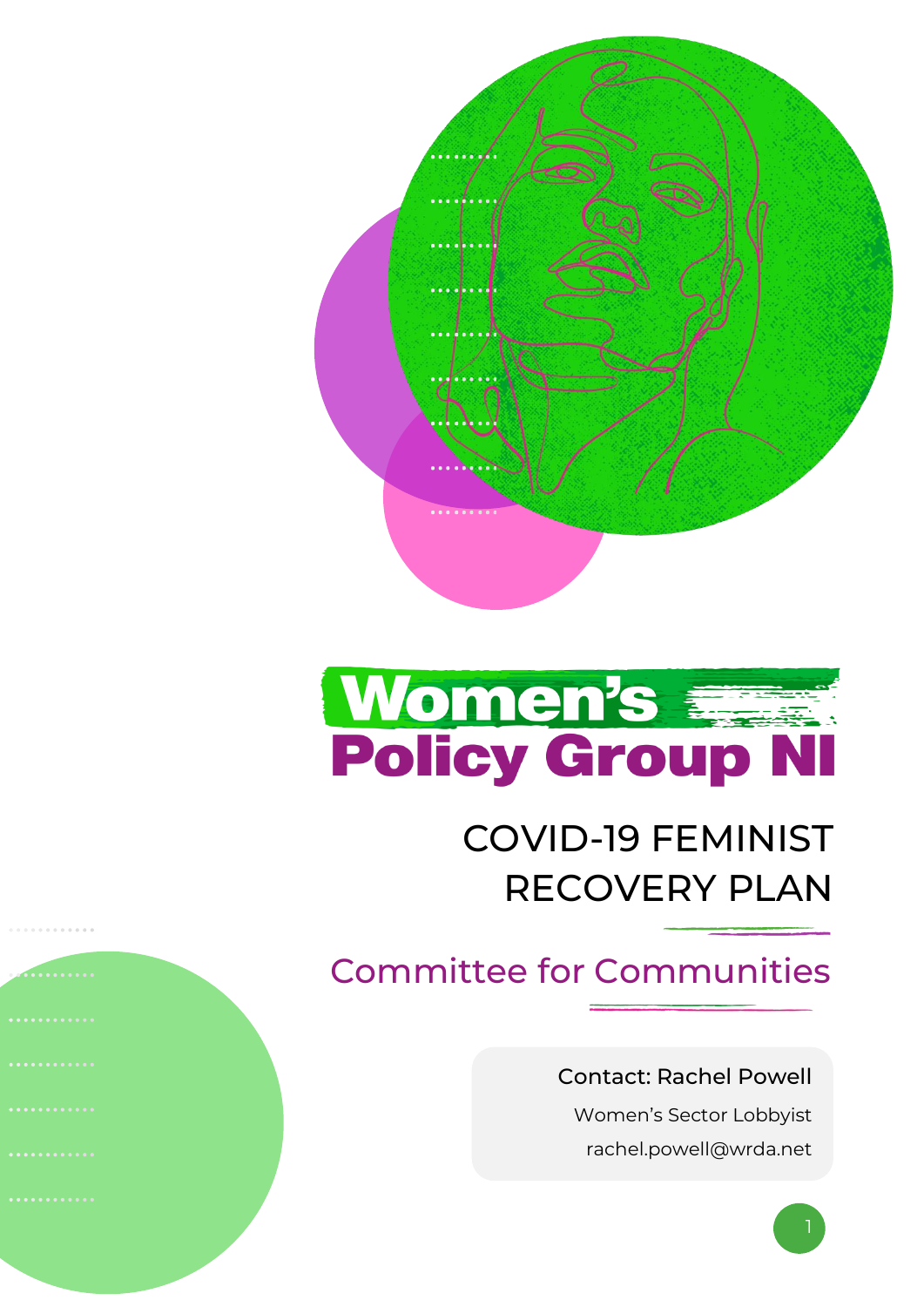

# Women's Fig. Policy Group NI

# COVID-19 FEMINIST RECOVERY PLAN

# Committee for Communities

#### Contact: Rachel Powell

Women's Sector Lobbyist rachel.powell@wrda.net

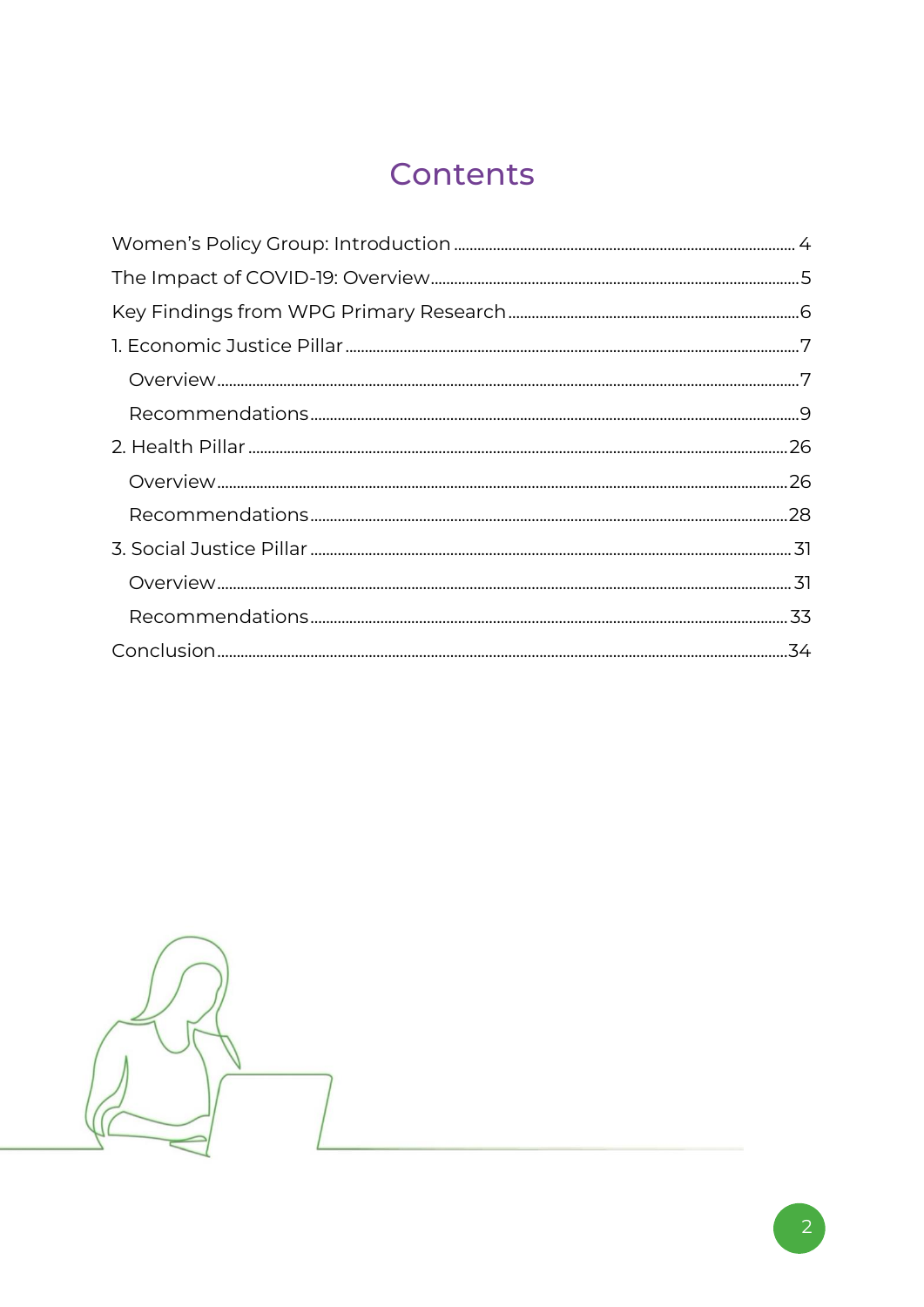## Contents

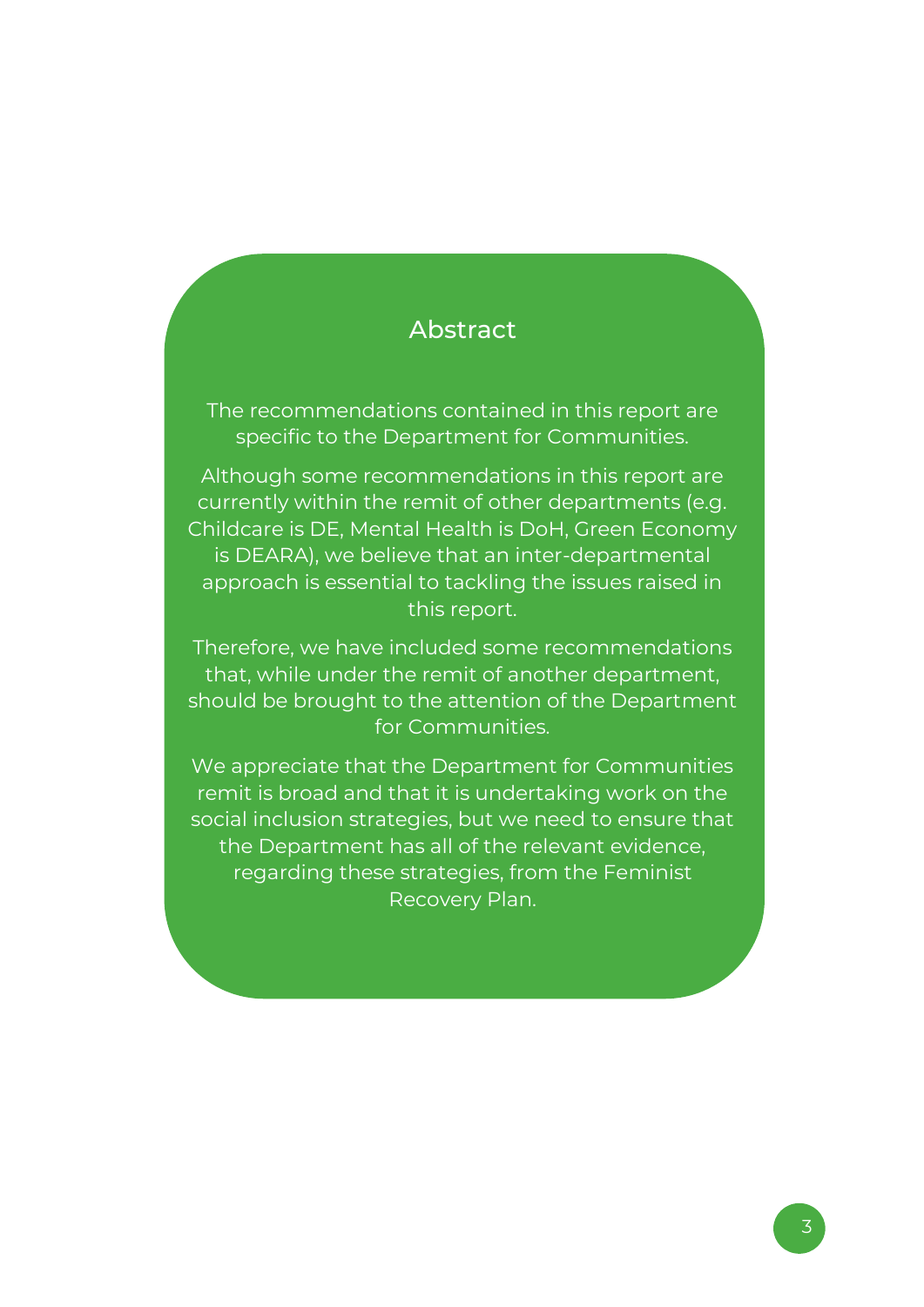#### Abstract

The recommendations contained in this report are specific to the Department for Communities.

Although some recommendations in this report are currently within the remit of other departments (e.g. Childcare is DE, Mental Health is DoH, Green Economy is DEARA), we believe that an inter-departmental approach is essential to tackling the issues raised in this report.

Therefore, we have included some recommendations that, while under the remit of another department, should be brought to the attention of the Department for Communities.

We appreciate that the Department for Communities remit is broad and that it is undertaking work on the social inclusion strategies, but we need to ensure that the Department has all of the relevant evidence, regarding these strategies, from the Feminist Recovery Plan.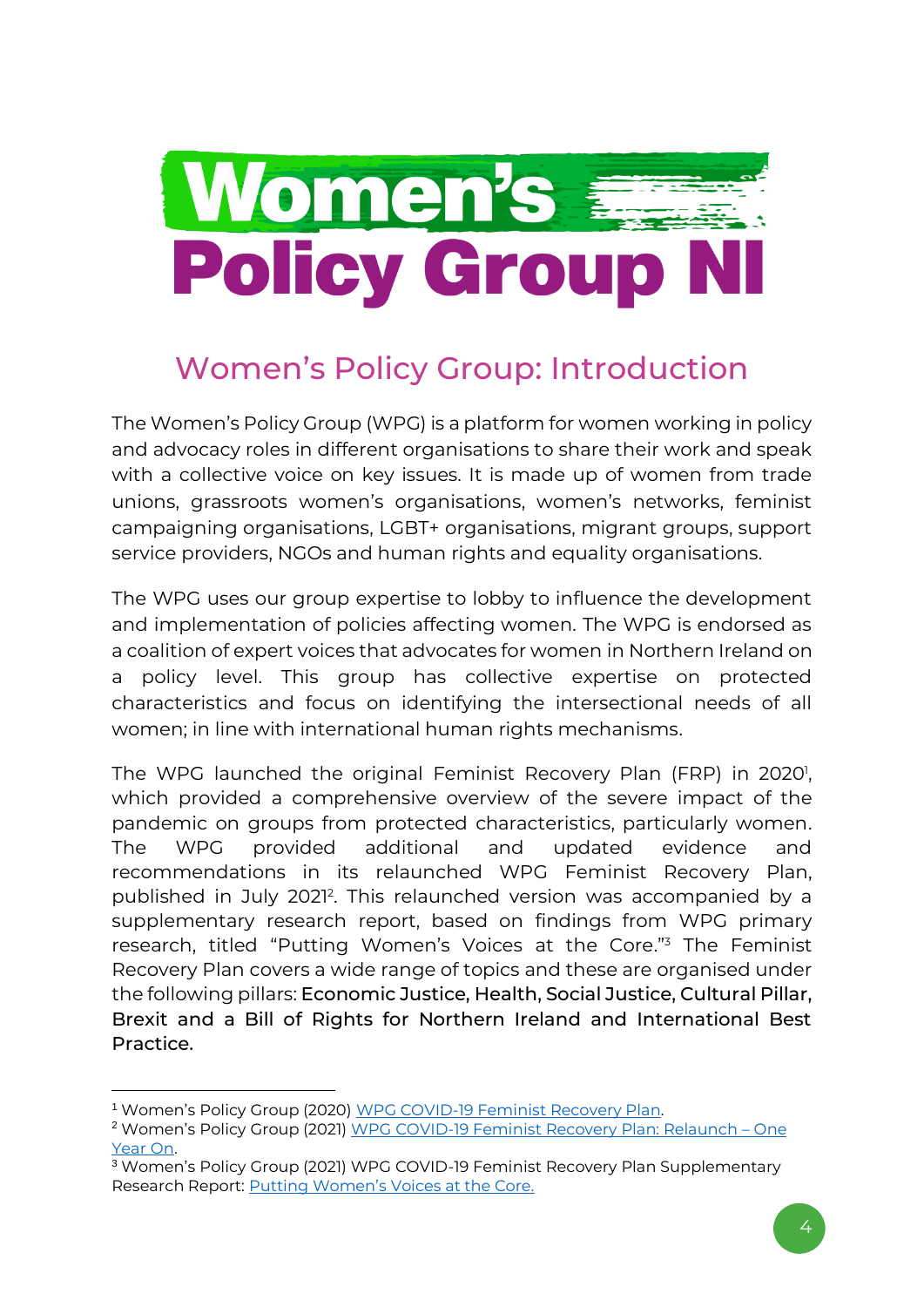

# <span id="page-3-0"></span>Women's Policy Group: Introduction

The Women's Policy Group (WPG) is a platform for women working in policy and advocacy roles in different organisations to share their work and speak with a collective voice on key issues. It is made up of women from trade unions, grassroots women's organisations, women's networks, feminist campaigning organisations, LGBT+ organisations, migrant groups, support service providers, NGOs and human rights and equality organisations.

The WPG uses our group expertise to lobby to influence the development and implementation of policies affecting women. The WPG is endorsed as a coalition of expert voices that advocates for women in Northern Ireland on a policy level. This group has collective expertise on protected characteristics and focus on identifying the intersectional needs of all women; in line with international human rights mechanisms.

The WPG launched the original Feminist Recovery Plan (FRP) in 2020<sup>1</sup>, which provided a comprehensive overview of the severe impact of the pandemic on groups from protected characteristics, particularly women. The WPG provided additional and updated evidence and recommendations in its relaunched WPG Feminist Recovery Plan, published in July 2021<sup>2</sup>. This relaunched version was accompanied by a supplementary research report, based on findings from WPG primary research, titled "Putting Women's Voices at the Core."<sup>3</sup> The Feminist Recovery Plan covers a wide range of topics and these are organised under the following pillars: Economic Justice, Health, Social Justice, Cultural Pillar, Brexit and a Bill of Rights for Northern Ireland and International Best Practice.

<sup>&</sup>lt;sup>1</sup> Women's Policy Group (2020) [WPG COVID-19 Feminist Recovery Plan.](https://wrda.net/wp-content/uploads/2020/07/WPG-NI-Feminist-Recovery-Plan-2020.pdf)

<sup>&</sup>lt;sup>2</sup> Women's Policy Group (2021) [WPG COVID-19 Feminist Recovery Plan: Relaunch](https://wrda.net/wp-content/uploads/2021/07/WPG-COVID-19-Feminist-Recovery-Plan-Relaunch-One-Year-On.pdf) - One [Year On.](https://wrda.net/wp-content/uploads/2021/07/WPG-COVID-19-Feminist-Recovery-Plan-Relaunch-One-Year-On.pdf)

<sup>3</sup> Women's Policy Group (2021) WPG COVID-19 Feminist Recovery Plan Supplementary Research Report: [Putting Women's Voices at the Core.](https://wrda.net/wp-content/uploads/2021/07/WPG-Feminist-Recovery-Plan-Research-Report-Womens-Voices-at-the-Core.pdf)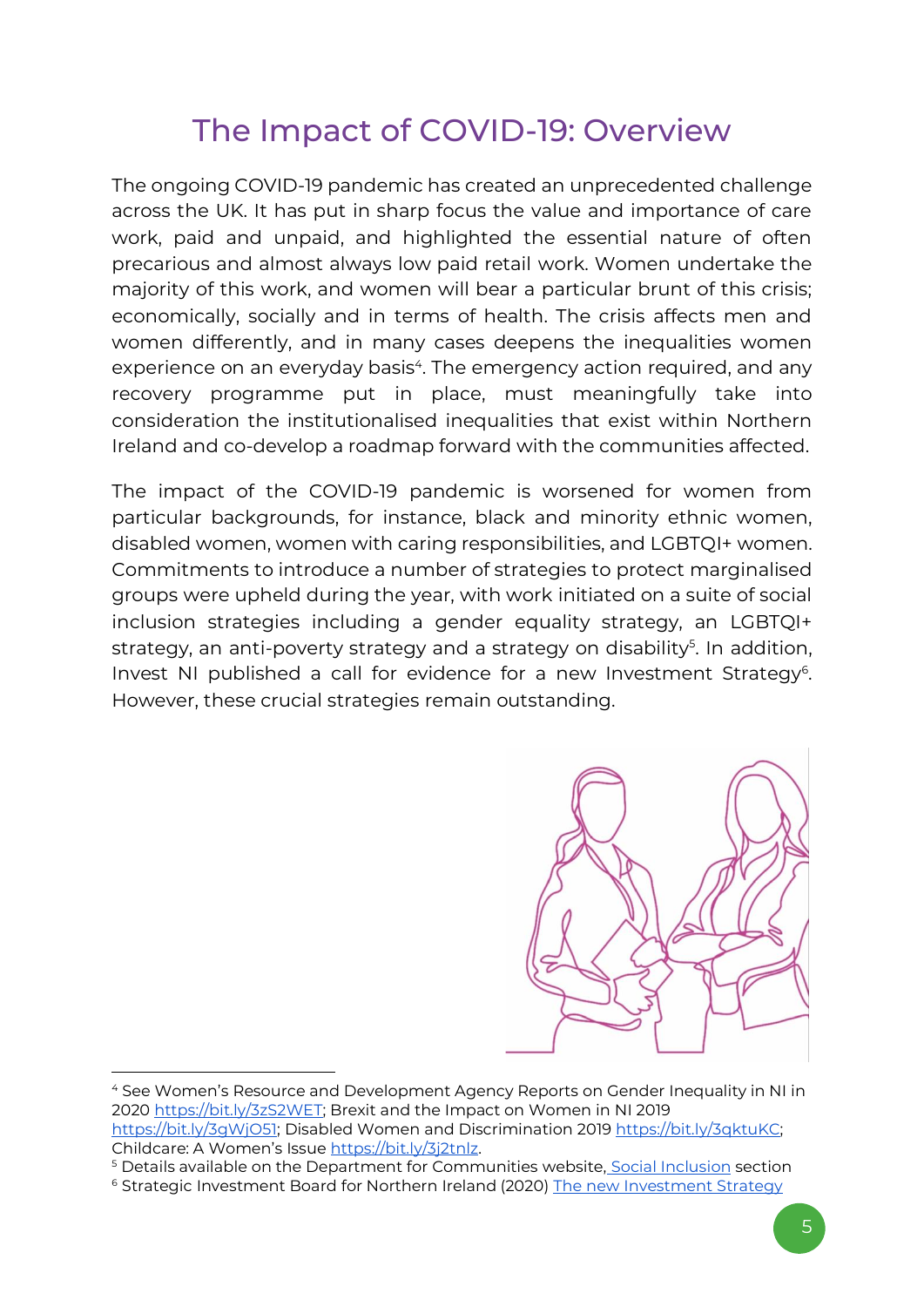### The Impact of COVID-19: Overview

<span id="page-4-0"></span>The ongoing COVID-19 pandemic has created an unprecedented challenge across the UK. It has put in sharp focus the value and importance of care work, paid and unpaid, and highlighted the essential nature of often precarious and almost always low paid retail work. Women undertake the majority of this work, and women will bear a particular brunt of this crisis; economically, socially and in terms of health. The crisis affects men and women differently, and in many cases deepens the inequalities women experience on an everyday basis<sup>4</sup>. The emergency action required, and any recovery programme put in place, must meaningfully take into consideration the institutionalised inequalities that exist within Northern Ireland and co-develop a roadmap forward with the communities affected.

The impact of the COVID-19 pandemic is worsened for women from particular backgrounds, for instance, black and minority ethnic women, disabled women, women with caring responsibilities, and LGBTQI+ women. Commitments to introduce a number of strategies to protect marginalised groups were upheld during the year, with work initiated on a suite of social inclusion strategies including a gender equality strategy, an LGBTQI+ strategy, an anti-poverty strategy and a strategy on disability<sup>5</sup>. In addition, Invest NI published a call for evidence for a new Investment Strategy<sup>6</sup>. However, these crucial strategies remain outstanding.

<span id="page-4-1"></span>

<sup>4</sup> See Women's Resource and Development Agency Reports on Gender Inequality in NI in 202[0](https://wrda.net/wp-content/uploads/2020/02/Gender-Inequality-in-Northern-Ireland.pdf) [https://bit.ly/3zS2WET;](https://bit.ly/3zS2WET) Brexit and the Impact on Women in N[I](https://wrda.net/2019/10/18/brexit-and-the-impact-on-women-in-northern-ireland/) 2019 [https://bit.ly/3gWjO51;](https://bit.ly/3gWjO51) Disabled Women and Discriminatio[n](https://wrda.net/2019/11/18/disabled-women-and-discrimination-facts-we-need-you-to-know/) 201[9 https://bit.ly/3qktuKC;](https://bit.ly/3qktuKC)  Childcare: A Women's Issue [https://bit.ly/3j2tnlz.](https://bit.ly/3j2tnlz)

<sup>5</sup> Details available on the Department for Communities website, [Social Inclusion](https://www.communities-ni.gov.uk/topics/social-inclusion) section

<sup>6</sup> Strategic Investment Board for Northern Ireland (2020) [The new Investment Strategy](https://sibni.org/home/investment-strategy-isni/)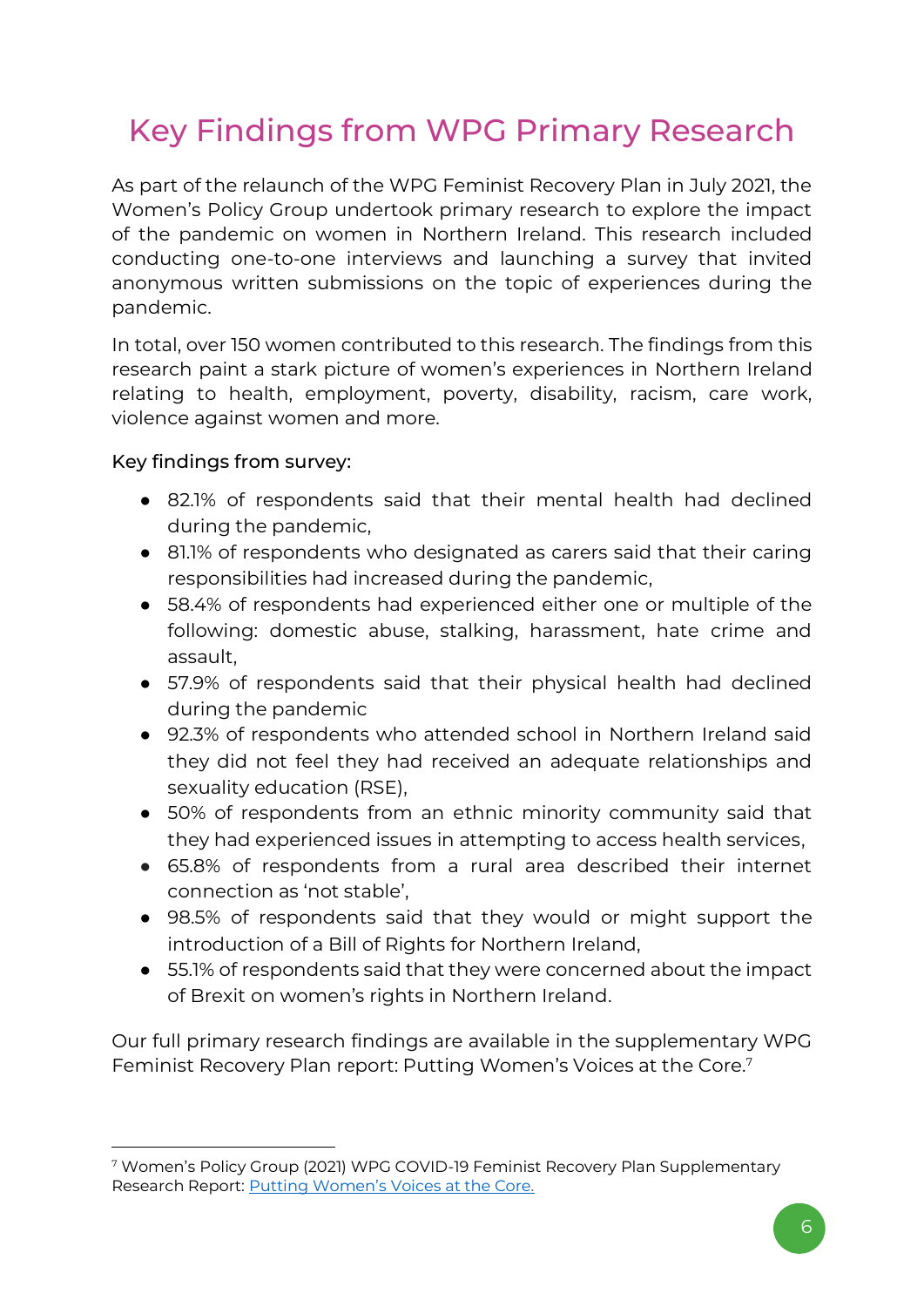# Key Findings from WPG Primary Research

As part of the relaunch of the WPG Feminist Recovery Plan in July 2021, the Women's Policy Group undertook primary research to explore the impact of the pandemic on women in Northern Ireland. This research included conducting one-to-one interviews and launching a survey that invited anonymous written submissions on the topic of experiences during the pandemic.

In total, over 150 women contributed to this research. The findings from this research paint a stark picture of women's experiences in Northern Ireland relating to health, employment, poverty, disability, racism, care work, violence against women and more.

#### Key findings from survey:

- 82.1% of respondents said that their mental health had declined during the pandemic,
- 81.1% of respondents who designated as carers said that their caring responsibilities had increased during the pandemic,
- 58.4% of respondents had experienced either one or multiple of the following: domestic abuse, stalking, harassment, hate crime and assault,
- 57.9% of respondents said that their physical health had declined during the pandemic
- 92.3% of respondents who attended school in Northern Ireland said they did not feel they had received an adequate relationships and sexuality education (RSE),
- 50% of respondents from an ethnic minority community said that they had experienced issues in attempting to access health services,
- 65.8% of respondents from a rural area described their internet connection as 'not stable',
- 98.5% of respondents said that they would or might support the introduction of a Bill of Rights for Northern Ireland,
- 55.1% of respondents said that they were concerned about the impact of Brexit on women's rights in Northern Ireland.

Our full primary research findings are available in the supplementary WPG Feminist Recovery Plan report: Putting Women's Voices at the Core.<sup>7</sup>

<sup>7</sup> Women's Policy Group (2021) WPG COVID-19 Feminist Recovery Plan Supplementary Research Report: [Putting Women's Voices at the Core.](https://wrda.net/wp-content/uploads/2021/07/WPG-Feminist-Recovery-Plan-Research-Report-Womens-Voices-at-the-Core.pdf)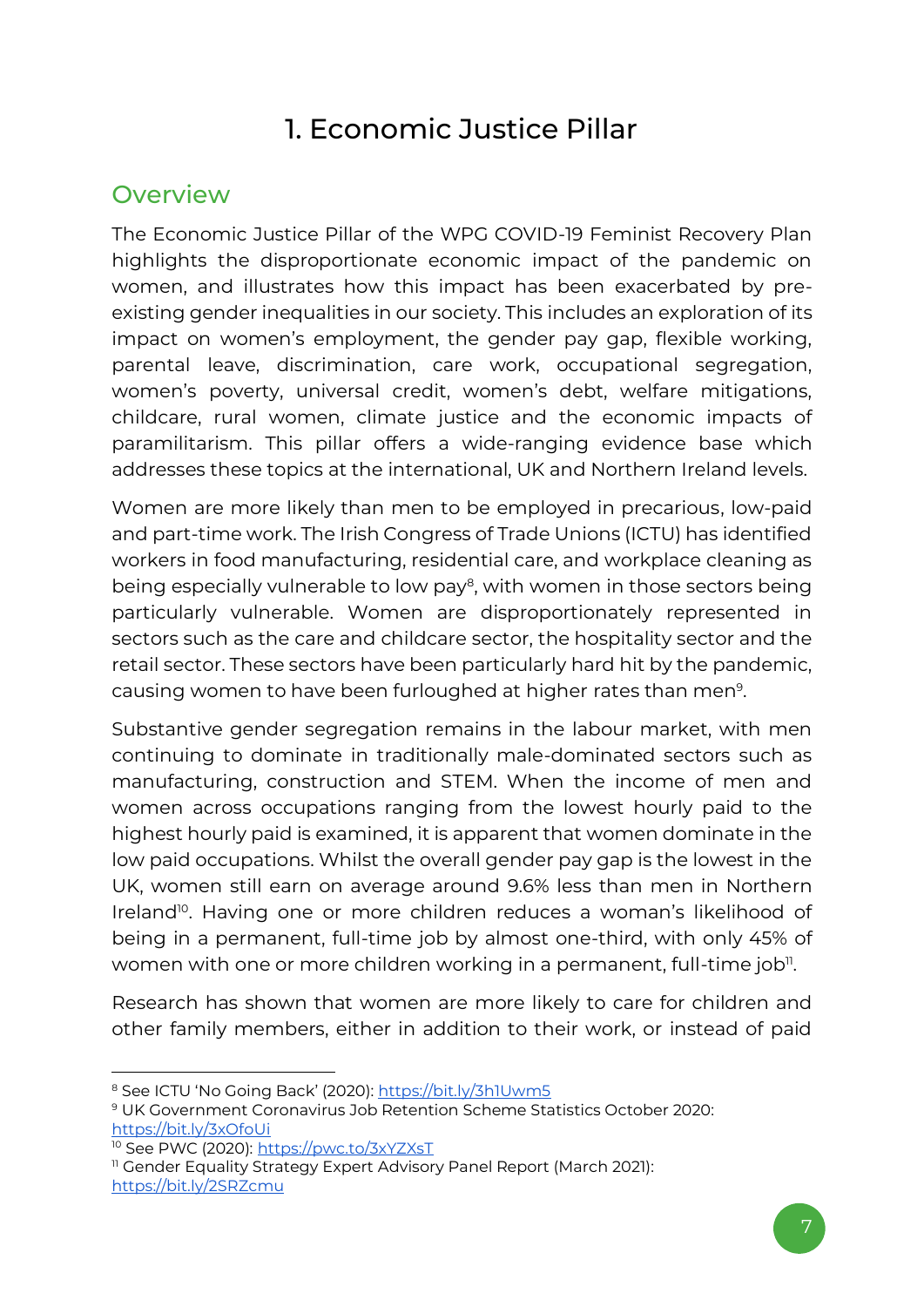### 1. Economic Justice Pillar

### <span id="page-6-1"></span><span id="page-6-0"></span>**Overview**

The Economic Justice Pillar of the WPG COVID-19 Feminist Recovery Plan highlights the disproportionate economic impact of the pandemic on women, and illustrates how this impact has been exacerbated by preexisting gender inequalities in our society. This includes an exploration of its impact on women's employment, the gender pay gap, flexible working, parental leave, discrimination, care work, occupational segregation, women's poverty, universal credit, women's debt, welfare mitigations, childcare, rural women, climate justice and the economic impacts of paramilitarism. This pillar offers a wide-ranging evidence base which addresses these topics at the international, UK and Northern Ireland levels.

Women are more likely than men to be employed in precarious, low-paid and part-time work. The Irish Congress of Trade Unions (ICTU) has identified workers in food manufacturing, residential care, and workplace cleaning as being especially vulnerable to low pay<sup>8</sup>, with women in those sectors being particularly vulnerable. Women are disproportionately represented in sectors such as the care and childcare sector, the hospitality sector and the retail sector. These sectors have been particularly hard hit by the pandemic, causing women to have been furloughed at higher rates than men<sup>9</sup>.

Substantive gender segregation remains in the labour market, with men continuing to dominate in traditionally male-dominated sectors such as manufacturing, construction and STEM. When the income of men and women across occupations ranging from the lowest hourly paid to the highest hourly paid is examined, it is apparent that women dominate in the low paid occupations. Whilst the overall gender pay gap is the lowest in the UK, women still earn on average around 9.6% less than men in Northern Ireland<sup>10</sup>. Having one or more children reduces a woman's likelihood of being in a permanent, full-time job by almost one-third, with only 45% of women with one or more children working in a permanent, full-time job $\rm ^{\text{\tiny{II}}}$ .

Research has shown that women are more likely to care for children and other family members, either in addition to their work, or instead of paid

<sup>&</sup>lt;sup>8</sup> See ICTU 'No Going Back' (2020): <https://bit.ly/3h1Uwm5>

<sup>9</sup> UK Government Coronavirus Job Retention Scheme Statistics October 2020: <https://bit.ly/3xOfoUi>

<sup>&</sup>lt;sup>10</sup> See PWC (2020)[: https://pwc.to/3xYZXsT](https://pwc.to/3xYZXsT)

<sup>&</sup>lt;sup>11</sup> Gender Equality Strategy Expert Advisory Panel Report (March 2021): <https://bit.ly/2SRZcmu>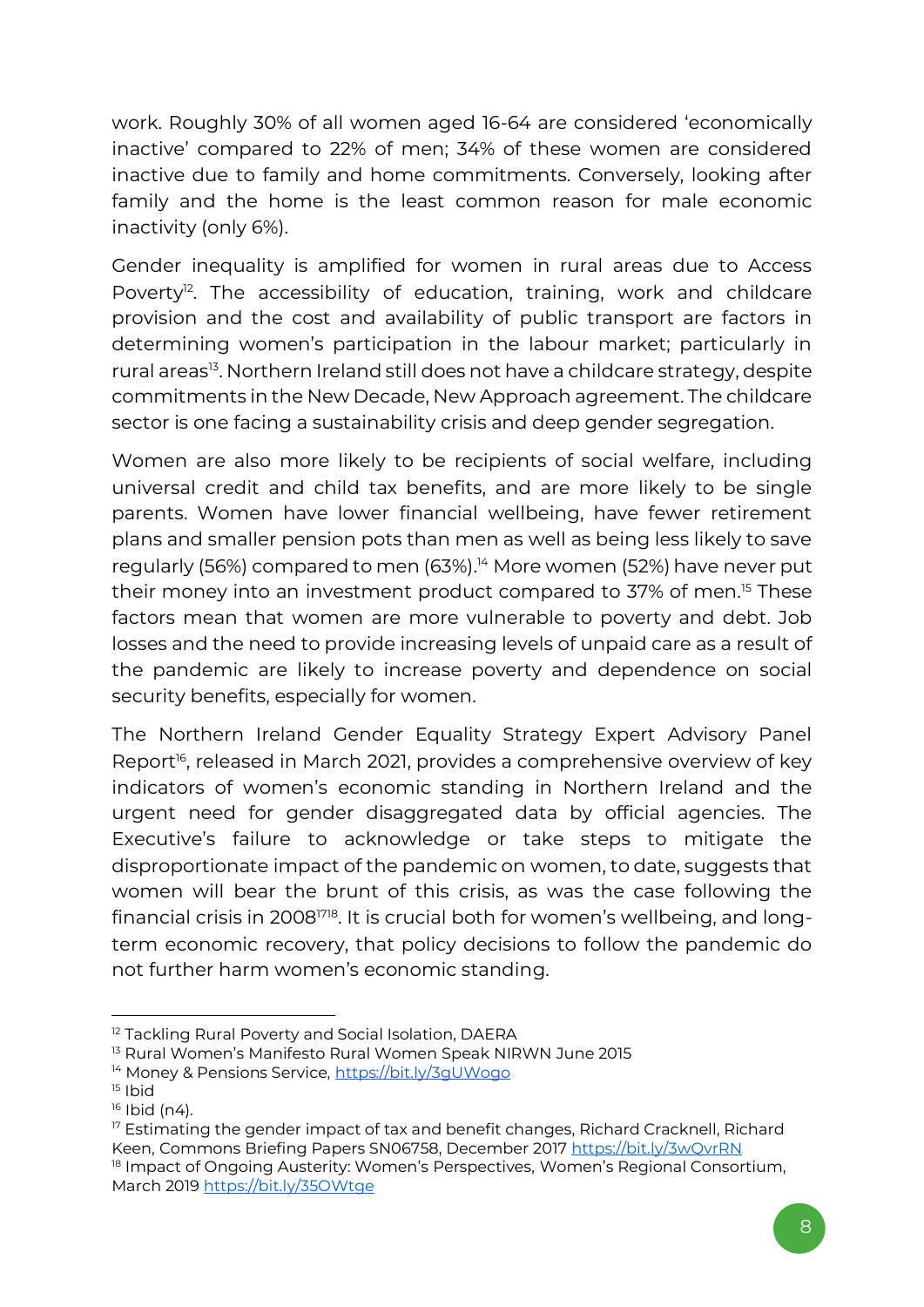work. Roughly 30% of all women aged 16-64 are considered 'economically inactive' compared to 22% of men; 34% of these women are considered inactive due to family and home commitments. Conversely, looking after family and the home is the least common reason for male economic inactivity (only 6%).

Gender inequality is amplified for women in rural areas due to Access Poverty<sup>12</sup>. The accessibility of education, training, work and childcare provision and the cost and availability of public transport are factors in determining women's participation in the labour market; particularly in rural areas<sup>13</sup>. Northern Ireland still does not have a childcare strategy, despite commitments in the New Decade, New Approach agreement. The childcare sector is one facing a sustainability crisis and deep gender segregation.

Women are also more likely to be recipients of social welfare, including universal credit and child tax benefits, and are more likely to be single parents. Women have lower financial wellbeing, have fewer retirement plans and smaller pension pots than men as well as being less likely to save regularly (56%) compared to men (63%).<sup>14</sup> More women (52%) have never put their money into an investment product compared to 37% of men.<sup>15</sup> These factors mean that women are more vulnerable to poverty and debt. Job losses and the need to provide increasing levels of unpaid care as a result of the pandemic are likely to increase poverty and dependence on social security benefits, especially for women.

The Northern Ireland Gender Equality Strategy Expert Advisory Panel Report<sup>16</sup>, released in March 2021, provides a comprehensive overview of key indicators of women's economic standing in Northern Ireland and the urgent need for gender disaggregated data by official agencies. The Executive's failure to acknowledge or take steps to mitigate the disproportionate impact of the pandemic on women, to date, suggests that women will bear the brunt of this crisis, as was the case following the financial crisis in 20081718. It is crucial both for women's wellbeing, and longterm economic recovery, that policy decisions to follow the pandemic do not further harm women's economic standing.

<sup>&</sup>lt;sup>12</sup> Tackling Rural Poverty and Social Isolation, DAERA

<sup>&</sup>lt;sup>13</sup> Rural Women's Manifesto Rural Women Speak NIRWN June 2015

<sup>14</sup> Money & Pensions Service[, https://bit.ly/3gUWogo](https://bit.ly/3gUWogo)

 $15$  Ibid

 $16$  Ibid (n4).

<sup>&</sup>lt;sup>17</sup> Estimating the gender impact of tax and benefit changes, Richard Cracknell, Richard Keen, Commons Briefing Papers SN06758, December 2017<https://bit.ly/3wQvrRN> <sup>18</sup> Impact of Ongoing Austerity: Women's Perspectives, Women's Regional Consortium, March 2019<https://bit.ly/35OWtge>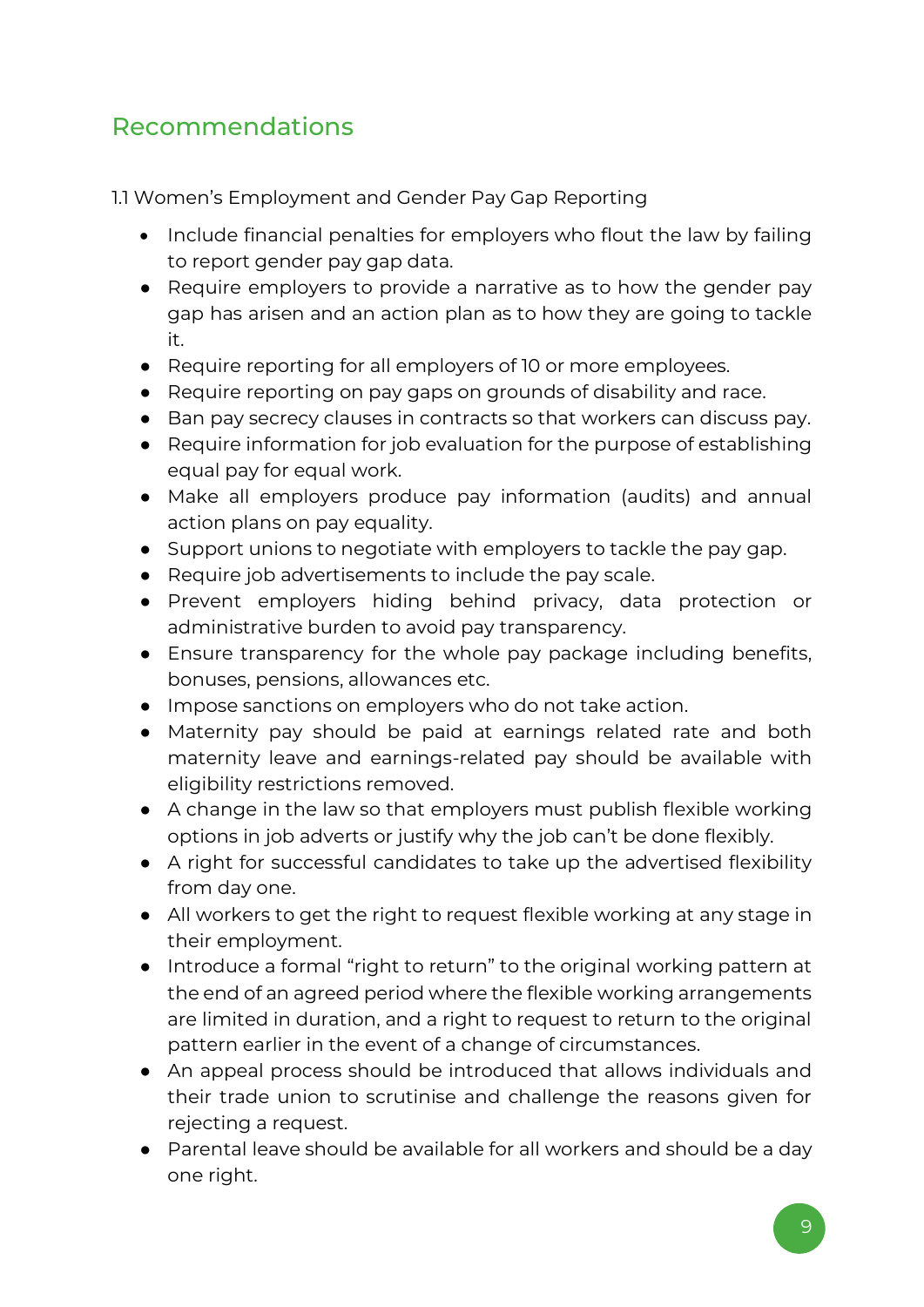### <span id="page-8-0"></span>Recommendations

1.1 Women's Employment and Gender Pay Gap Reporting

- Include financial penalties for employers who flout the law by failing to report gender pay gap data.
- Require employers to provide a narrative as to how the gender pay gap has arisen and an action plan as to how they are going to tackle it.
- Require reporting for all employers of 10 or more employees.
- Require reporting on pay gaps on grounds of disability and race.
- Ban pay secrecy clauses in contracts so that workers can discuss pay.
- Require information for job evaluation for the purpose of establishing equal pay for equal work.
- Make all employers produce pay information (audits) and annual action plans on pay equality.
- Support unions to negotiate with employers to tackle the pay gap.
- Require job advertisements to include the pay scale.
- Prevent employers hiding behind privacy, data protection or administrative burden to avoid pay transparency.
- Ensure transparency for the whole pay package including benefits, bonuses, pensions, allowances etc.
- Impose sanctions on employers who do not take action.
- Maternity pay should be paid at earnings related rate and both maternity leave and earnings-related pay should be available with eligibility restrictions removed.
- A change in the law so that employers must publish flexible working options in job adverts or justify why the job can't be done flexibly.
- A right for successful candidates to take up the advertised flexibility from day one.
- All workers to get the right to request flexible working at any stage in their employment.
- Introduce a formal "right to return" to the original working pattern at the end of an agreed period where the flexible working arrangements are limited in duration, and a right to request to return to the original pattern earlier in the event of a change of circumstances.
- An appeal process should be introduced that allows individuals and their trade union to scrutinise and challenge the reasons given for rejecting a request.
- Parental leave should be available for all workers and should be a day one right.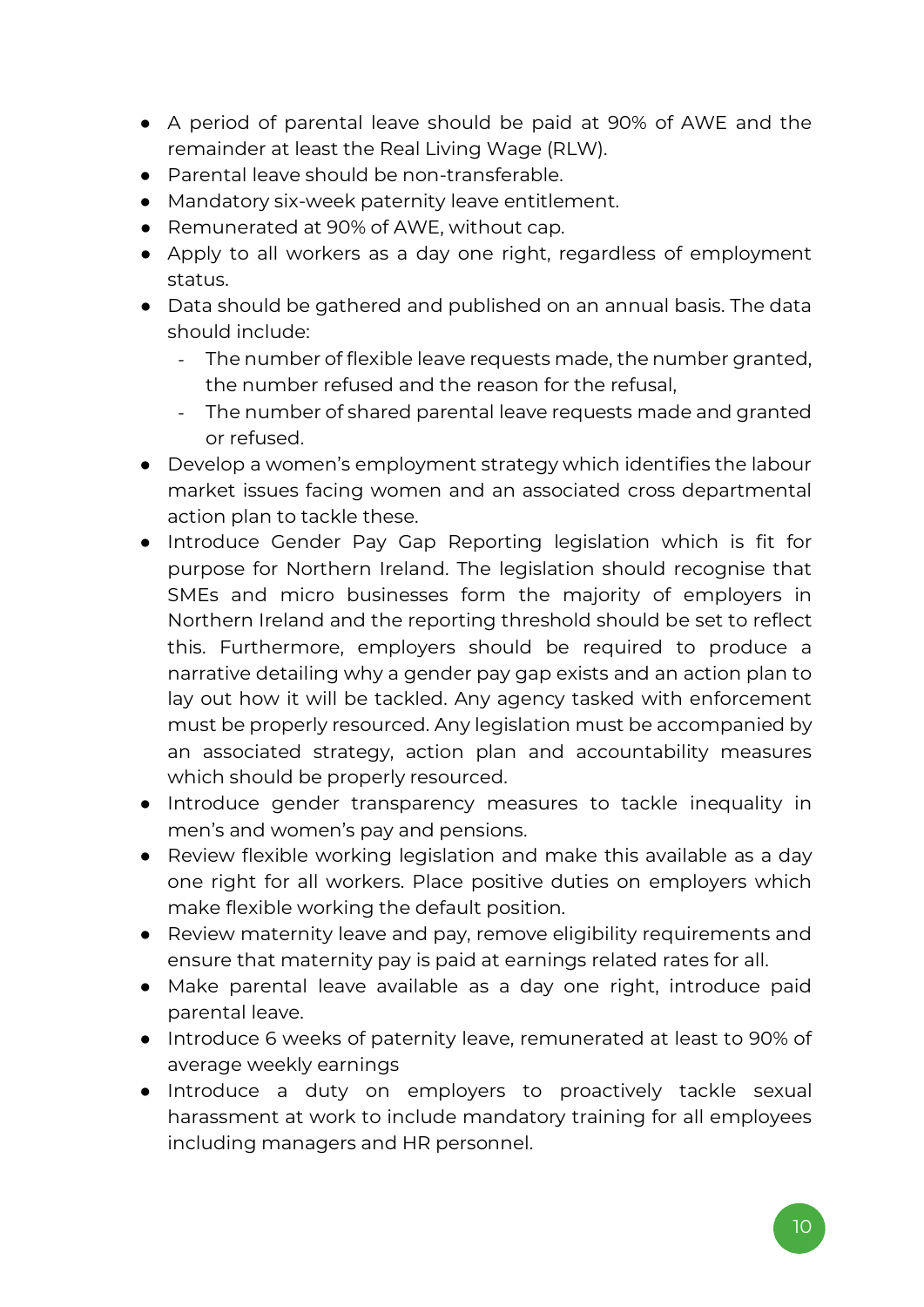- A period of parental leave should be paid at 90% of AWE and the remainder at least the Real Living Wage (RLW).
- Parental leave should be non-transferable.
- Mandatory six-week paternity leave entitlement.
- Remunerated at 90% of AWE, without cap.
- Apply to all workers as a day one right, regardless of employment status.
- Data should be gathered and published on an annual basis. The data should include:
	- The number of flexible leave requests made, the number granted, the number refused and the reason for the refusal,
	- The number of shared parental leave requests made and granted or refused.
- Develop a women's employment strategy which identifies the labour market issues facing women and an associated cross departmental action plan to tackle these.
- Introduce Gender Pay Gap Reporting legislation which is fit for purpose for Northern Ireland. The legislation should recognise that SMEs and micro businesses form the majority of employers in Northern Ireland and the reporting threshold should be set to reflect this. Furthermore, employers should be required to produce a narrative detailing why a gender pay gap exists and an action plan to lay out how it will be tackled. Any agency tasked with enforcement must be properly resourced. Any legislation must be accompanied by an associated strategy, action plan and accountability measures which should be properly resourced.
- Introduce gender transparency measures to tackle inequality in men's and women's pay and pensions.
- Review flexible working legislation and make this available as a day one right for all workers. Place positive duties on employers which make flexible working the default position.
- Review maternity leave and pay, remove eligibility requirements and ensure that maternity pay is paid at earnings related rates for all.
- Make parental leave available as a day one right, introduce paid parental leave.
- Introduce 6 weeks of paternity leave, remunerated at least to 90% of average weekly earnings
- Introduce a duty on employers to proactively tackle sexual harassment at work to include mandatory training for all employees including managers and HR personnel.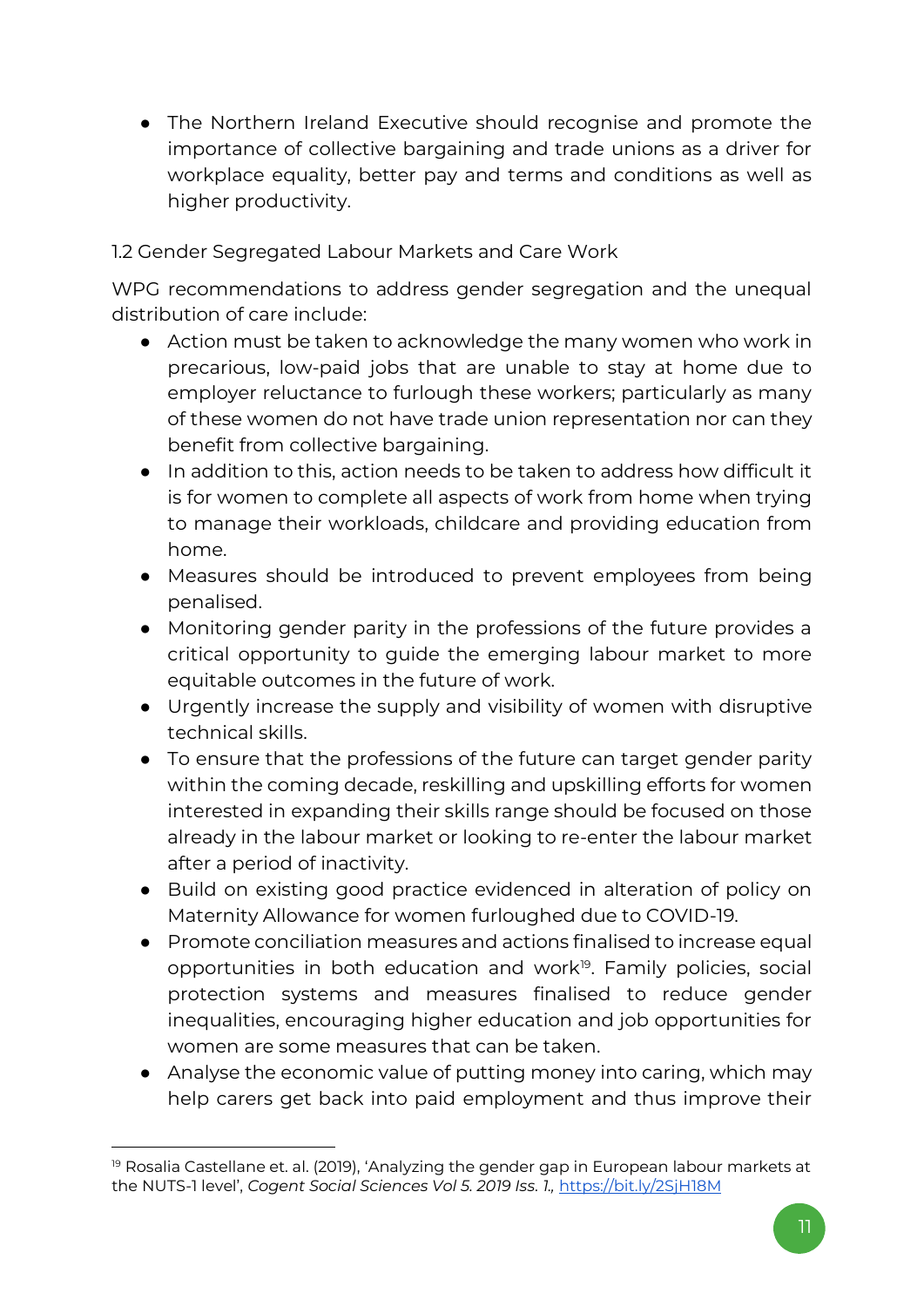● The Northern Ireland Executive should recognise and promote the importance of collective bargaining and trade unions as a driver for workplace equality, better pay and terms and conditions as well as higher productivity.

1.2 Gender Segregated Labour Markets and Care Work

WPG recommendations to address gender segregation and the unequal distribution of care include:

- Action must be taken to acknowledge the many women who work in precarious, low-paid jobs that are unable to stay at home due to employer reluctance to furlough these workers; particularly as many of these women do not have trade union representation nor can they benefit from collective bargaining.
- In addition to this, action needs to be taken to address how difficult it is for women to complete all aspects of work from home when trying to manage their workloads, childcare and providing education from home.
- Measures should be introduced to prevent employees from being penalised.
- Monitoring gender parity in the professions of the future provides a critical opportunity to guide the emerging labour market to more equitable outcomes in the future of work.
- Urgently increase the supply and visibility of women with disruptive technical skills.
- To ensure that the professions of the future can target gender parity within the coming decade, reskilling and upskilling efforts for women interested in expanding their skills range should be focused on those already in the labour market or looking to re-enter the labour market after a period of inactivity.
- Build on existing good practice evidenced in alteration of policy on Maternity Allowance for women furloughed due to COVID-19.
- Promote conciliation measures and actions finalised to increase equal opportunities in both education and work<sup>19</sup>. Family policies, social protection systems and measures finalised to reduce gender inequalities, encouraging higher education and job opportunities for women are some measures that can be taken.
- Analyse the economic value of putting money into caring, which may help carers get back into paid employment and thus improve their

<sup>&</sup>lt;sup>19</sup> Rosalia Castellane et. al. (2019), 'Analyzing the gender gap in European labour markets at the NUTS-1 level', *Cogent Social Sciences Vol 5. 2019 Iss. 1.,* <https://bit.ly/2SjH18M>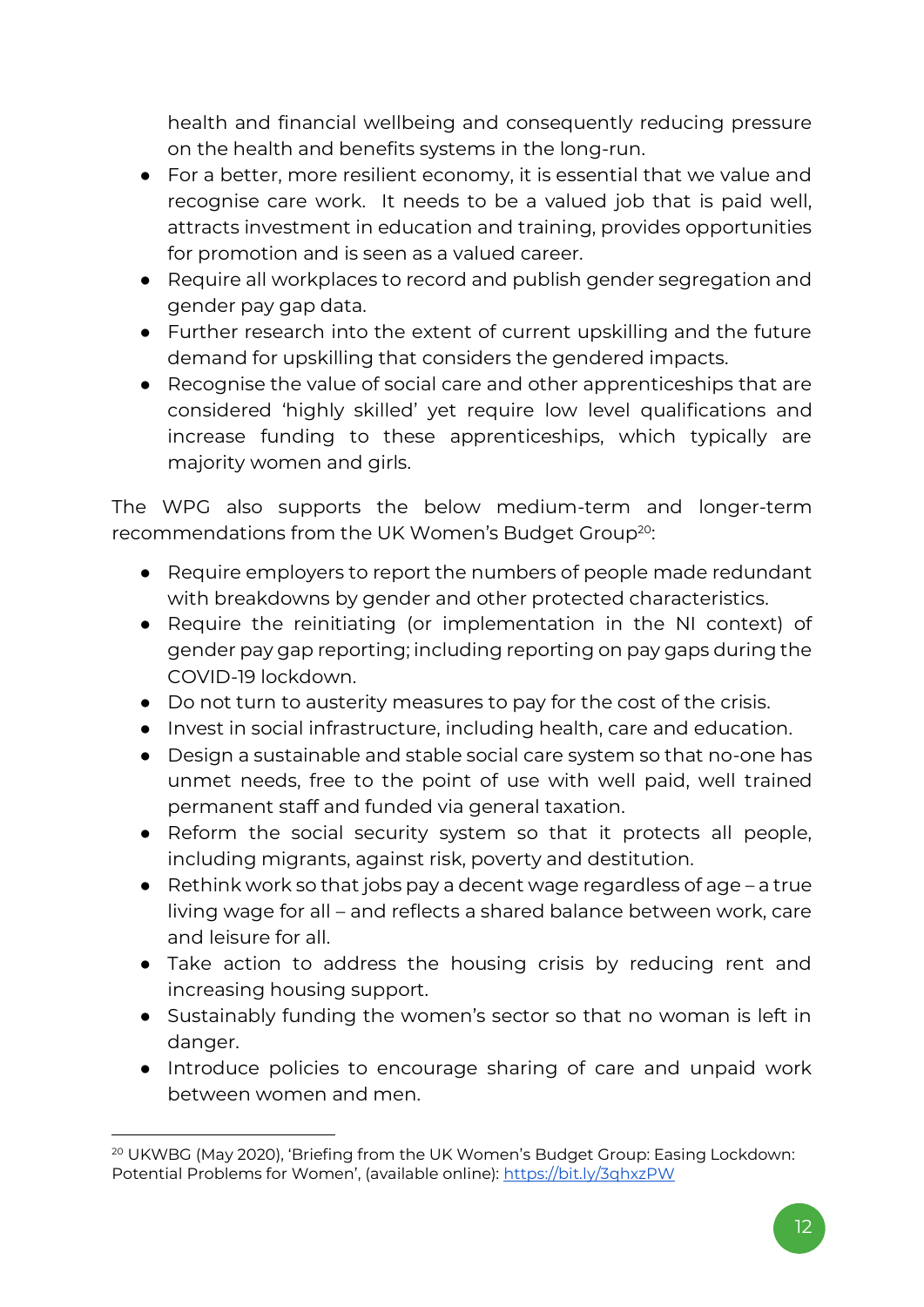health and financial wellbeing and consequently reducing pressure on the health and benefits systems in the long-run.

- For a better, more resilient economy, it is essential that we value and recognise care work. It needs to be a valued job that is paid well, attracts investment in education and training, provides opportunities for promotion and is seen as a valued career.
- Require all workplaces to record and publish gender segregation and gender pay gap data.
- Further research into the extent of current upskilling and the future demand for upskilling that considers the gendered impacts.
- Recognise the value of social care and other apprenticeships that are considered 'highly skilled' yet require low level qualifications and increase funding to these apprenticeships, which typically are majority women and girls.

The WPG also supports the below medium-term and longer-term recommendations from the UK Women's Budget Group<sup>20</sup>:

- Require employers to report the numbers of people made redundant with breakdowns by gender and other protected characteristics.
- Require the reinitiating (or implementation in the NI context) of gender pay gap reporting; including reporting on pay gaps during the COVID-19 lockdown.
- Do not turn to austerity measures to pay for the cost of the crisis.
- Invest in social infrastructure, including health, care and education.
- Design a sustainable and stable social care system so that no-one has unmet needs, free to the point of use with well paid, well trained permanent staff and funded via general taxation.
- Reform the social security system so that it protects all people, including migrants, against risk, poverty and destitution.
- Rethink work so that jobs pay a decent wage regardless of age a true living wage for all – and reflects a shared balance between work, care and leisure for all.
- Take action to address the housing crisis by reducing rent and increasing housing support.
- Sustainably funding the women's sector so that no woman is left in danger.
- Introduce policies to encourage sharing of care and unpaid work between women and men.

<sup>&</sup>lt;sup>20</sup> UKWBG (May 2020), 'Briefing from the UK Women's Budget Group: Easing Lockdown: Potential Problems for Women', (available online): <https://bit.ly/3qhxzPW>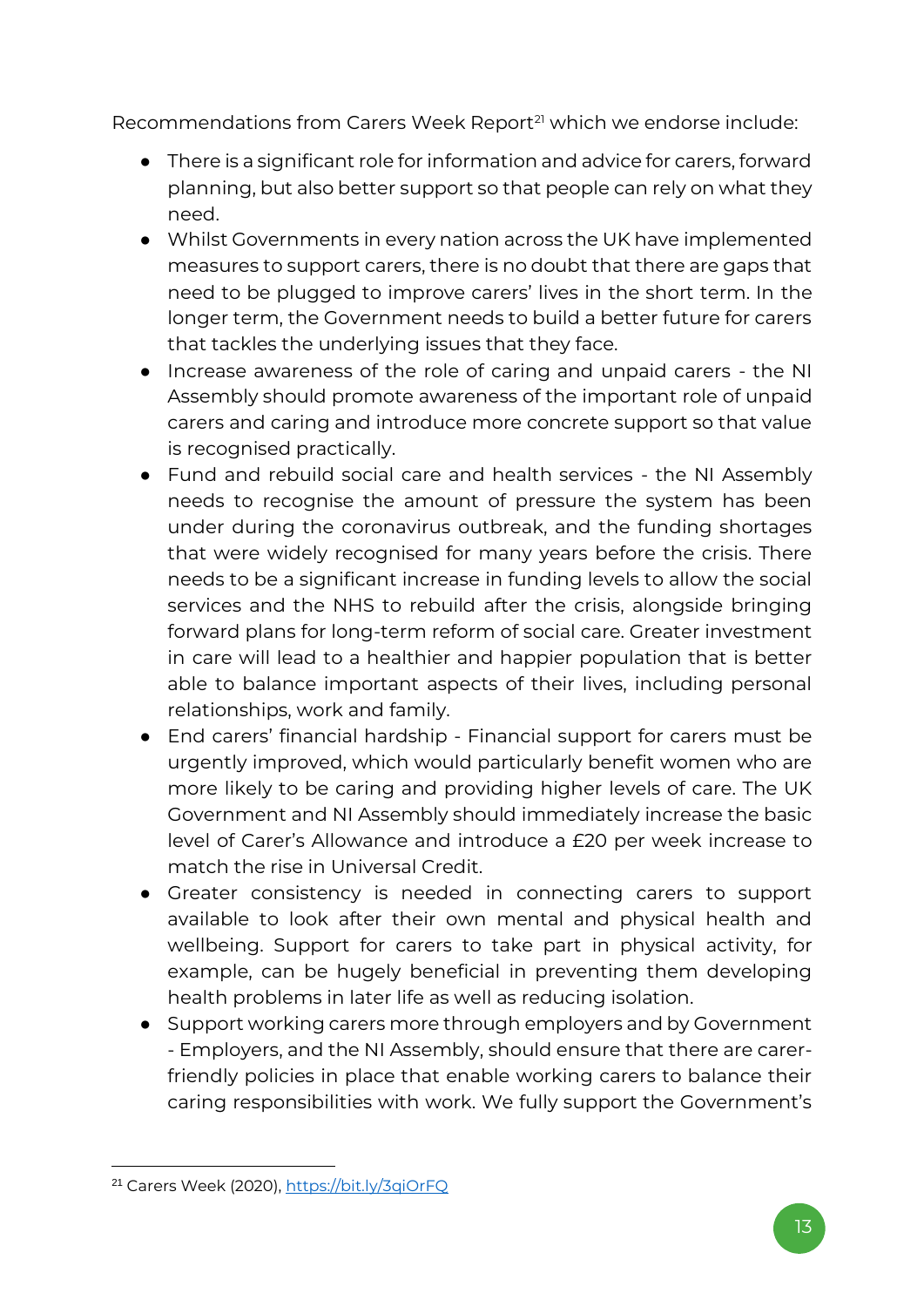Recommendations from Carers Week Report<sup>21</sup> which we endorse include:

- There is a significant role for information and advice for carers, forward planning, but also better support so that people can rely on what they need.
- Whilst Governments in every nation across the UK have implemented measures to support carers, there is no doubt that there are gaps that need to be plugged to improve carers' lives in the short term. In the longer term, the Government needs to build a better future for carers that tackles the underlying issues that they face.
- Increase awareness of the role of caring and unpaid carers the NI Assembly should promote awareness of the important role of unpaid carers and caring and introduce more concrete support so that value is recognised practically.
- Fund and rebuild social care and health services the NI Assembly needs to recognise the amount of pressure the system has been under during the coronavirus outbreak, and the funding shortages that were widely recognised for many years before the crisis. There needs to be a significant increase in funding levels to allow the social services and the NHS to rebuild after the crisis, alongside bringing forward plans for long-term reform of social care. Greater investment in care will lead to a healthier and happier population that is better able to balance important aspects of their lives, including personal relationships, work and family.
- End carers' financial hardship Financial support for carers must be urgently improved, which would particularly benefit women who are more likely to be caring and providing higher levels of care. The UK Government and NI Assembly should immediately increase the basic level of Carer's Allowance and introduce a £20 per week increase to match the rise in Universal Credit.
- Greater consistency is needed in connecting carers to support available to look after their own mental and physical health and wellbeing. Support for carers to take part in physical activity, for example, can be hugely beneficial in preventing them developing health problems in later life as well as reducing isolation.
- Support working carers more through employers and by Government - Employers, and the NI Assembly, should ensure that there are carerfriendly policies in place that enable working carers to balance their caring responsibilities with work. We fully support the Government's

<sup>21</sup> Carers Week (2020),<https://bit.ly/3qiOrFQ>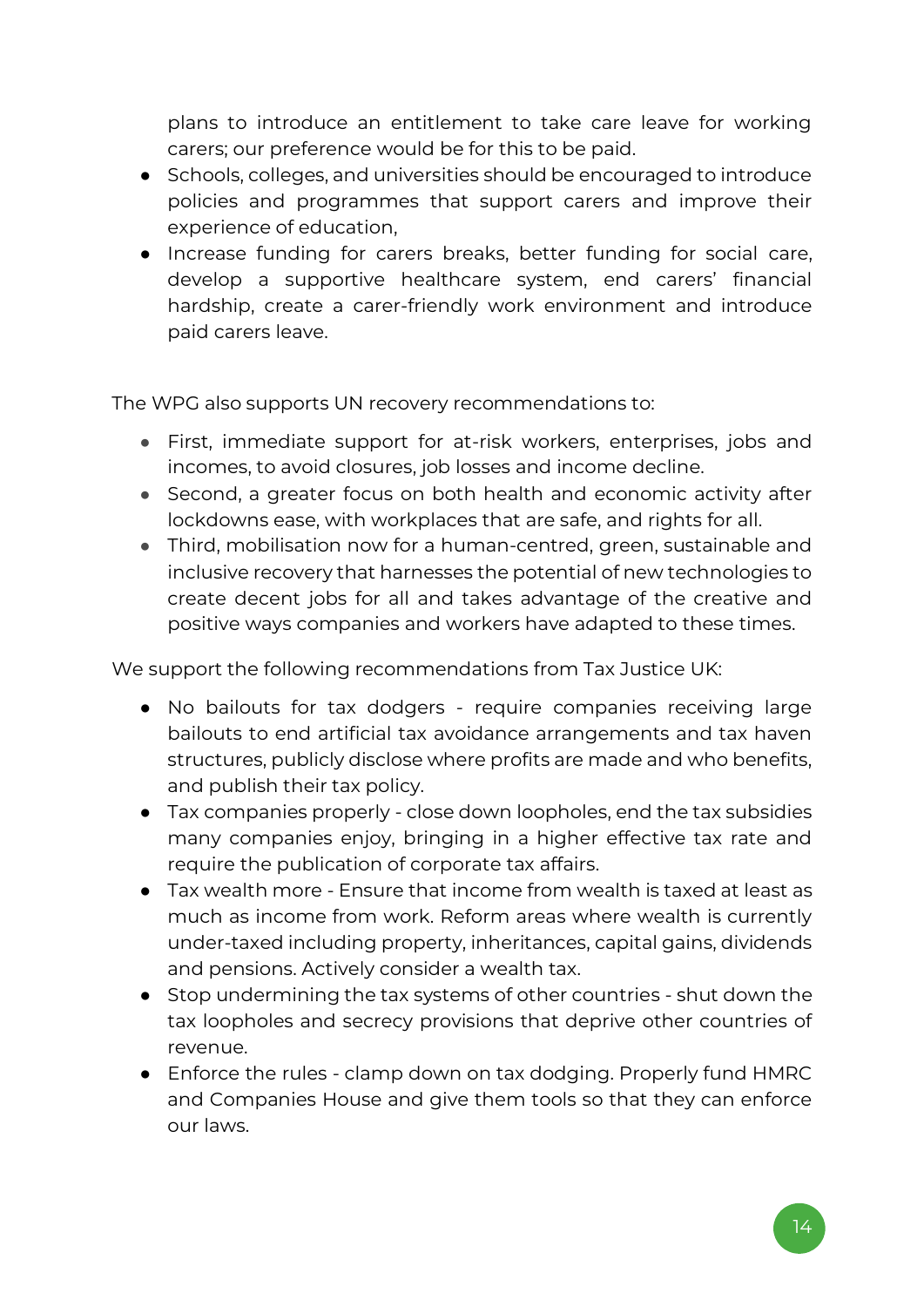plans to introduce an entitlement to take care leave for working carers; our preference would be for this to be paid.

- Schools, colleges, and universities should be encouraged to introduce policies and programmes that support carers and improve their experience of education,
- Increase funding for carers breaks, better funding for social care, develop a supportive healthcare system, end carers' financial hardship, create a carer-friendly work environment and introduce paid carers leave.

The WPG also supports UN recovery recommendations to:

- First, immediate support for at-risk workers, enterprises, jobs and incomes, to avoid closures, job losses and income decline.
- Second, a greater focus on both health and economic activity after lockdowns ease, with workplaces that are safe, and rights for all.
- Third, mobilisation now for a human-centred, green, sustainable and inclusive recovery that harnesses the potential of new technologies to create decent jobs for all and takes advantage of the creative and positive ways companies and workers have adapted to these times.

We support the following recommendations from Tax Justice UK:

- No bailouts for tax dodgers require companies receiving large bailouts to end artificial tax avoidance arrangements and tax haven structures, publicly disclose where profits are made and who benefits, and publish their tax policy.
- Tax companies properly close down loopholes, end the tax subsidies many companies enjoy, bringing in a higher effective tax rate and require the publication of corporate tax affairs.
- Tax wealth more Ensure that income from wealth is taxed at least as much as income from work. Reform areas where wealth is currently under-taxed including property, inheritances, capital gains, dividends and pensions. Actively consider a wealth tax.
- Stop undermining the tax systems of other countries shut down the tax loopholes and secrecy provisions that deprive other countries of revenue.
- Enforce the rules clamp down on tax dodging. Properly fund HMRC and Companies House and give them tools so that they can enforce our laws.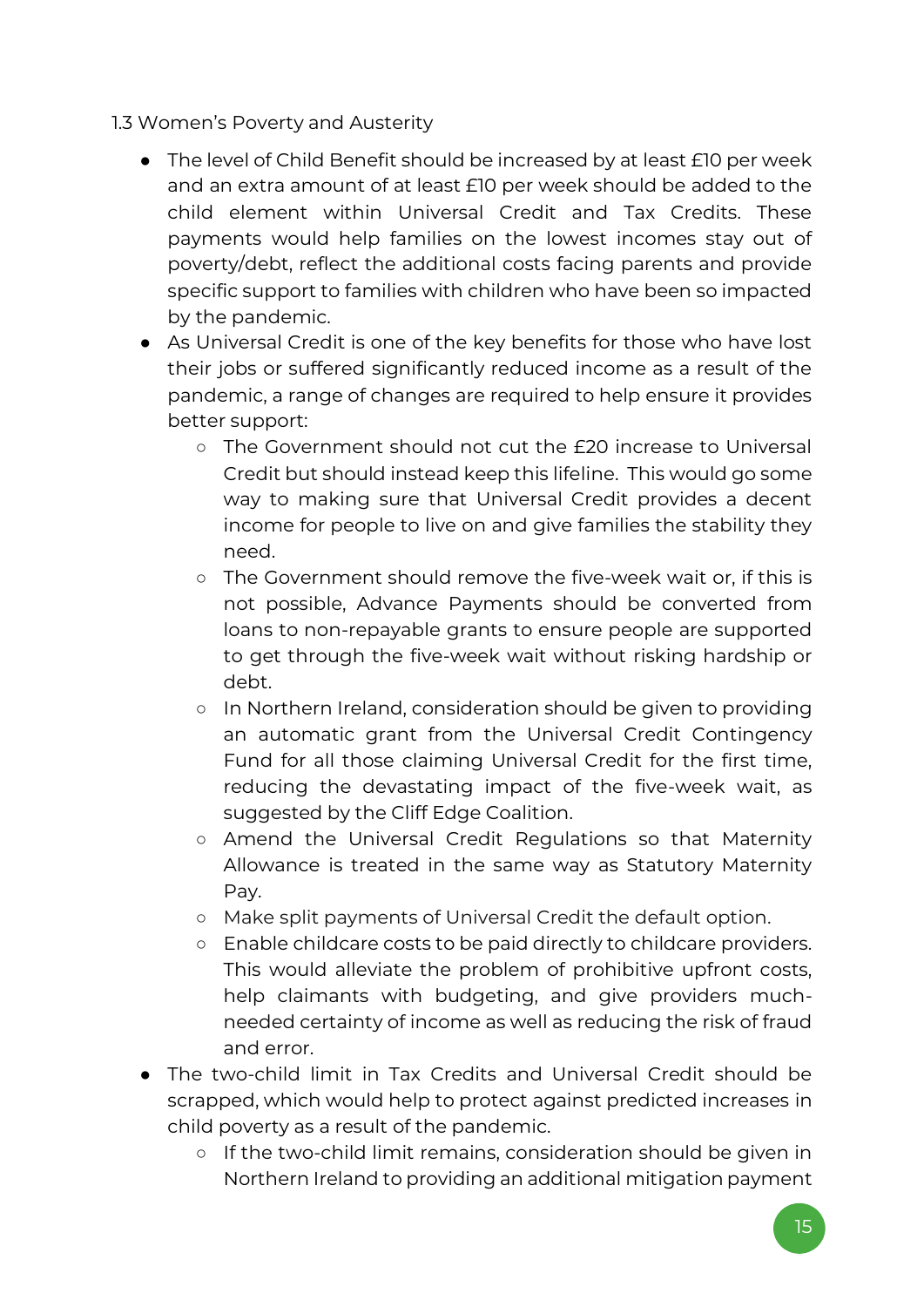- 1.3 Women's Poverty and Austerity
	- The level of Child Benefit should be increased by at least £10 per week and an extra amount of at least £10 per week should be added to the child element within Universal Credit and Tax Credits. These payments would help families on the lowest incomes stay out of poverty/debt, reflect the additional costs facing parents and provide specific support to families with children who have been so impacted by the pandemic.
	- As Universal Credit is one of the key benefits for those who have lost their jobs or suffered significantly reduced income as a result of the pandemic, a range of changes are required to help ensure it provides better support:
		- The Government should not cut the £20 increase to Universal Credit but should instead keep this lifeline. This would go some way to making sure that Universal Credit provides a decent income for people to live on and give families the stability they need.
		- The Government should remove the five-week wait or, if this is not possible, Advance Payments should be converted from loans to non-repayable grants to ensure people are supported to get through the five-week wait without risking hardship or debt.
		- In Northern Ireland, consideration should be given to providing an automatic grant from the Universal Credit Contingency Fund for all those claiming Universal Credit for the first time, reducing the devastating impact of the five-week wait, as suggested by the Cliff Edge Coalition.
		- Amend the Universal Credit Regulations so that Maternity Allowance is treated in the same way as Statutory Maternity Pay.
		- Make split payments of Universal Credit the default option.
		- Enable childcare costs to be paid directly to childcare providers. This would alleviate the problem of prohibitive upfront costs, help claimants with budgeting, and give providers muchneeded certainty of income as well as reducing the risk of fraud and error.
	- The two-child limit in Tax Credits and Universal Credit should be scrapped, which would help to protect against predicted increases in child poverty as a result of the pandemic.
		- If the two-child limit remains, consideration should be given in Northern Ireland to providing an additional mitigation payment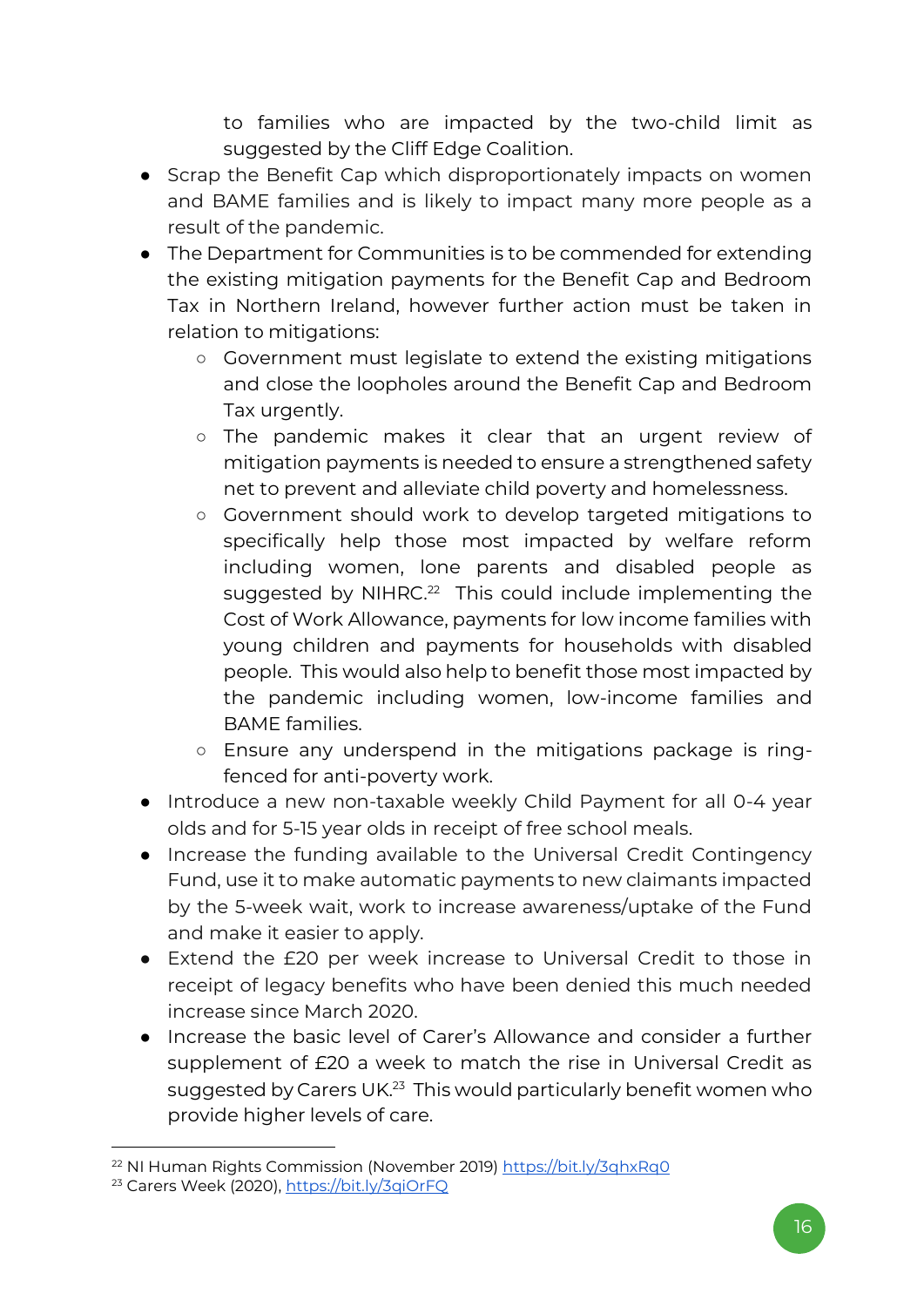to families who are impacted by the two-child limit as suggested by the Cliff Edge Coalition.

- Scrap the Benefit Cap which disproportionately impacts on women and BAME families and is likely to impact many more people as a result of the pandemic.
- The Department for Communities is to be commended for extending the existing mitigation payments for the Benefit Cap and Bedroom Tax in Northern Ireland, however further action must be taken in relation to mitigations:
	- Government must legislate to extend the existing mitigations and close the loopholes around the Benefit Cap and Bedroom Tax urgently.
	- The pandemic makes it clear that an urgent review of mitigation payments is needed to ensure a strengthened safety net to prevent and alleviate child poverty and homelessness.
	- Government should work to develop targeted mitigations to specifically help those most impacted by welfare reform including women, lone parents and disabled people as suggested by NIHRC.<sup>22</sup> This could include implementing the Cost of Work Allowance, payments for low income families with young children and payments for households with disabled people. This would also help to benefit those most impacted by the pandemic including women, low-income families and BAME families.
	- Ensure any underspend in the mitigations package is ringfenced for anti-poverty work.
- Introduce a new non-taxable weekly Child Payment for all 0-4 year olds and for 5-15 year olds in receipt of free school meals.
- Increase the funding available to the Universal Credit Contingency Fund, use it to make automatic payments to new claimants impacted by the 5-week wait, work to increase awareness/uptake of the Fund and make it easier to apply.
- Extend the £20 per week increase to Universal Credit to those in receipt of legacy benefits who have been denied this much needed increase since March 2020.
- Increase the basic level of Carer's Allowance and consider a further supplement of £20 a week to match the rise in Universal Credit as suggested by Carers UK.<sup>23</sup> This would particularly benefit women who provide higher levels of care.

<sup>22</sup> NI Human Rights Commission (November 2019[\) https://bit.ly/3qhxRq0](https://bit.ly/3qhxRq0)

<sup>23</sup> Carers Week (2020),<https://bit.ly/3qiOrFQ>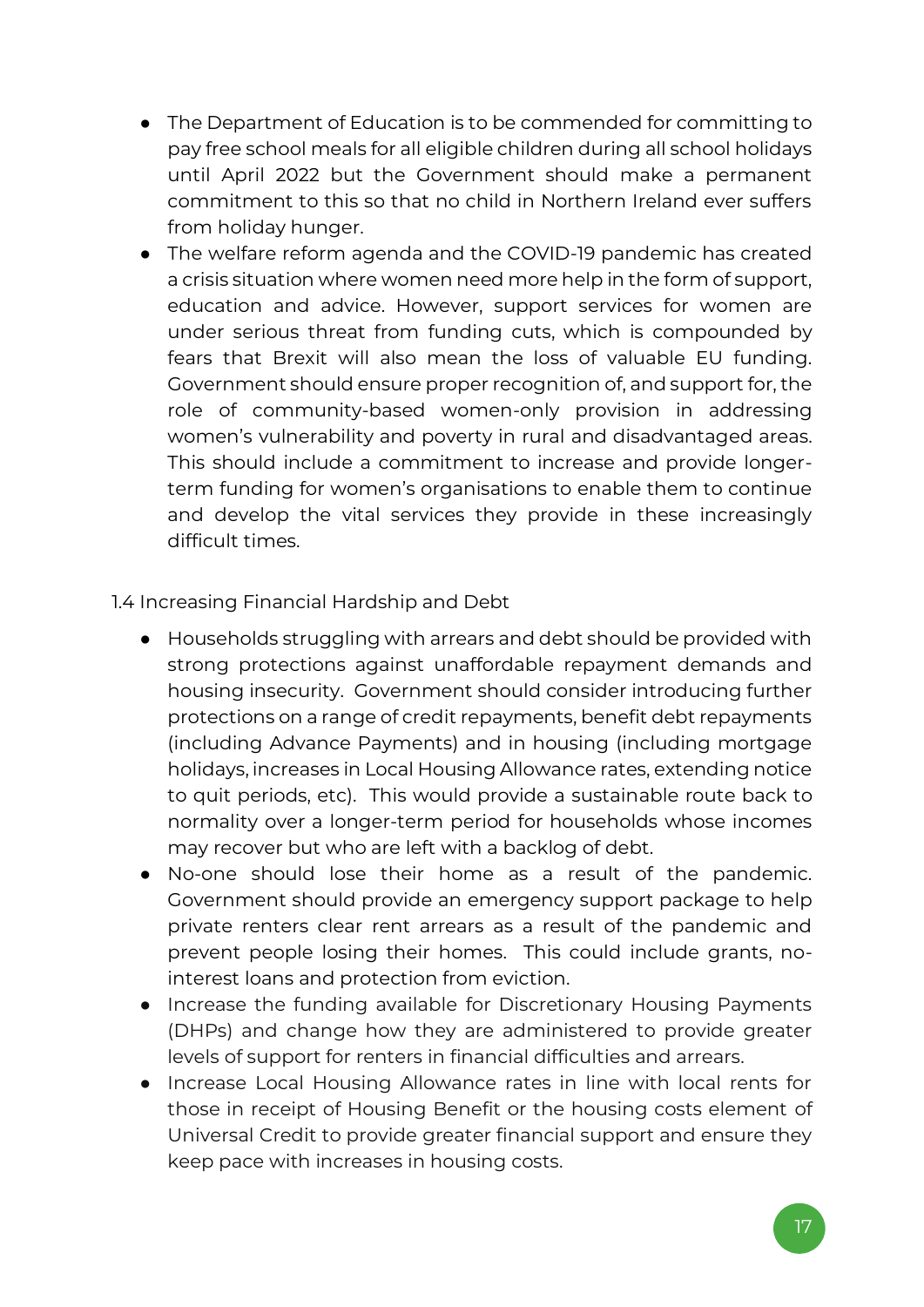- The Department of Education is to be commended for committing to pay free school meals for all eligible children during all school holidays until April 2022 but the Government should make a permanent commitment to this so that no child in Northern Ireland ever suffers from holiday hunger.
- The welfare reform agenda and the COVID-19 pandemic has created a crisis situation where women need more help in the form of support, education and advice. However, support services for women are under serious threat from funding cuts, which is compounded by fears that Brexit will also mean the loss of valuable EU funding. Government should ensure proper recognition of, and support for, the role of community-based women-only provision in addressing women's vulnerability and poverty in rural and disadvantaged areas. This should include a commitment to increase and provide longerterm funding for women's organisations to enable them to continue and develop the vital services they provide in these increasingly difficult times.

#### 1.4 Increasing Financial Hardship and Debt

- Households struggling with arrears and debt should be provided with strong protections against unaffordable repayment demands and housing insecurity. Government should consider introducing further protections on a range of credit repayments, benefit debt repayments (including Advance Payments) and in housing (including mortgage holidays, increases in Local Housing Allowance rates, extending notice to quit periods, etc). This would provide a sustainable route back to normality over a longer-term period for households whose incomes may recover but who are left with a backlog of debt.
- No-one should lose their home as a result of the pandemic. Government should provide an emergency support package to help private renters clear rent arrears as a result of the pandemic and prevent people losing their homes. This could include grants, nointerest loans and protection from eviction.
- Increase the funding available for Discretionary Housing Payments (DHPs) and change how they are administered to provide greater levels of support for renters in financial difficulties and arrears.
- Increase Local Housing Allowance rates in line with local rents for those in receipt of Housing Benefit or the housing costs element of Universal Credit to provide greater financial support and ensure they keep pace with increases in housing costs.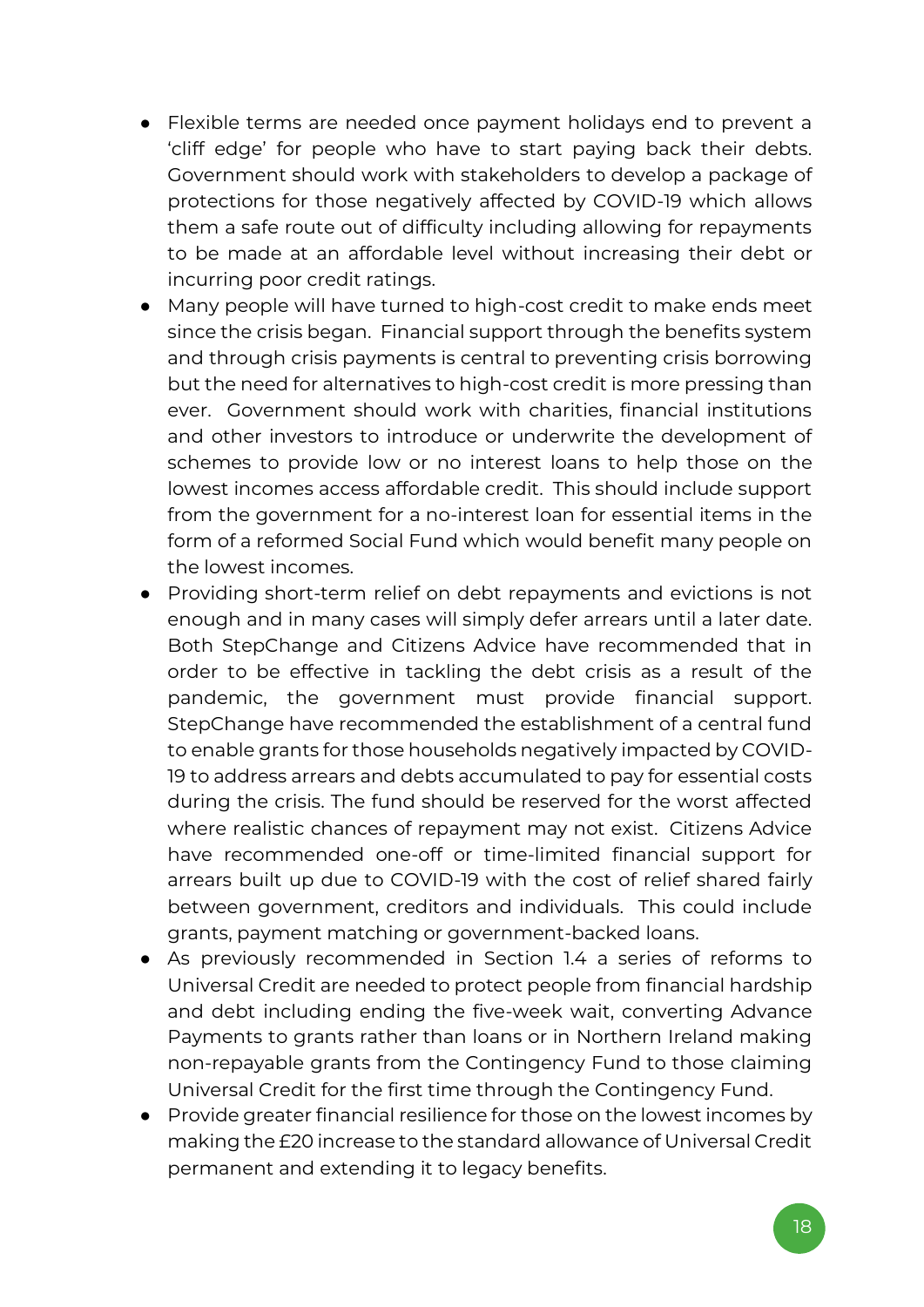- Flexible terms are needed once payment holidays end to prevent a 'cliff edge' for people who have to start paying back their debts. Government should work with stakeholders to develop a package of protections for those negatively affected by COVID-19 which allows them a safe route out of difficulty including allowing for repayments to be made at an affordable level without increasing their debt or incurring poor credit ratings.
- Many people will have turned to high-cost credit to make ends meet since the crisis began. Financial support through the benefits system and through crisis payments is central to preventing crisis borrowing but the need for alternatives to high-cost credit is more pressing than ever. Government should work with charities, financial institutions and other investors to introduce or underwrite the development of schemes to provide low or no interest loans to help those on the lowest incomes access affordable credit. This should include support from the government for a no-interest loan for essential items in the form of a reformed Social Fund which would benefit many people on the lowest incomes.
- Providing short-term relief on debt repayments and evictions is not enough and in many cases will simply defer arrears until a later date. Both StepChange and Citizens Advice have recommended that in order to be effective in tackling the debt crisis as a result of the pandemic, the government must provide financial support. StepChange have recommended the establishment of a central fund to enable grants for those households negatively impacted by COVID-19 to address arrears and debts accumulated to pay for essential costs during the crisis. The fund should be reserved for the worst affected where realistic chances of repayment may not exist. Citizens Advice have recommended one-off or time-limited financial support for arrears built up due to COVID-19 with the cost of relief shared fairly between government, creditors and individuals. This could include grants, payment matching or government-backed loans.
- As previously recommended in Section 1.4 a series of reforms to Universal Credit are needed to protect people from financial hardship and debt including ending the five-week wait, converting Advance Payments to grants rather than loans or in Northern Ireland making non-repayable grants from the Contingency Fund to those claiming Universal Credit for the first time through the Contingency Fund.
- Provide greater financial resilience for those on the lowest incomes by making the £20 increase to the standard allowance of Universal Credit permanent and extending it to legacy benefits.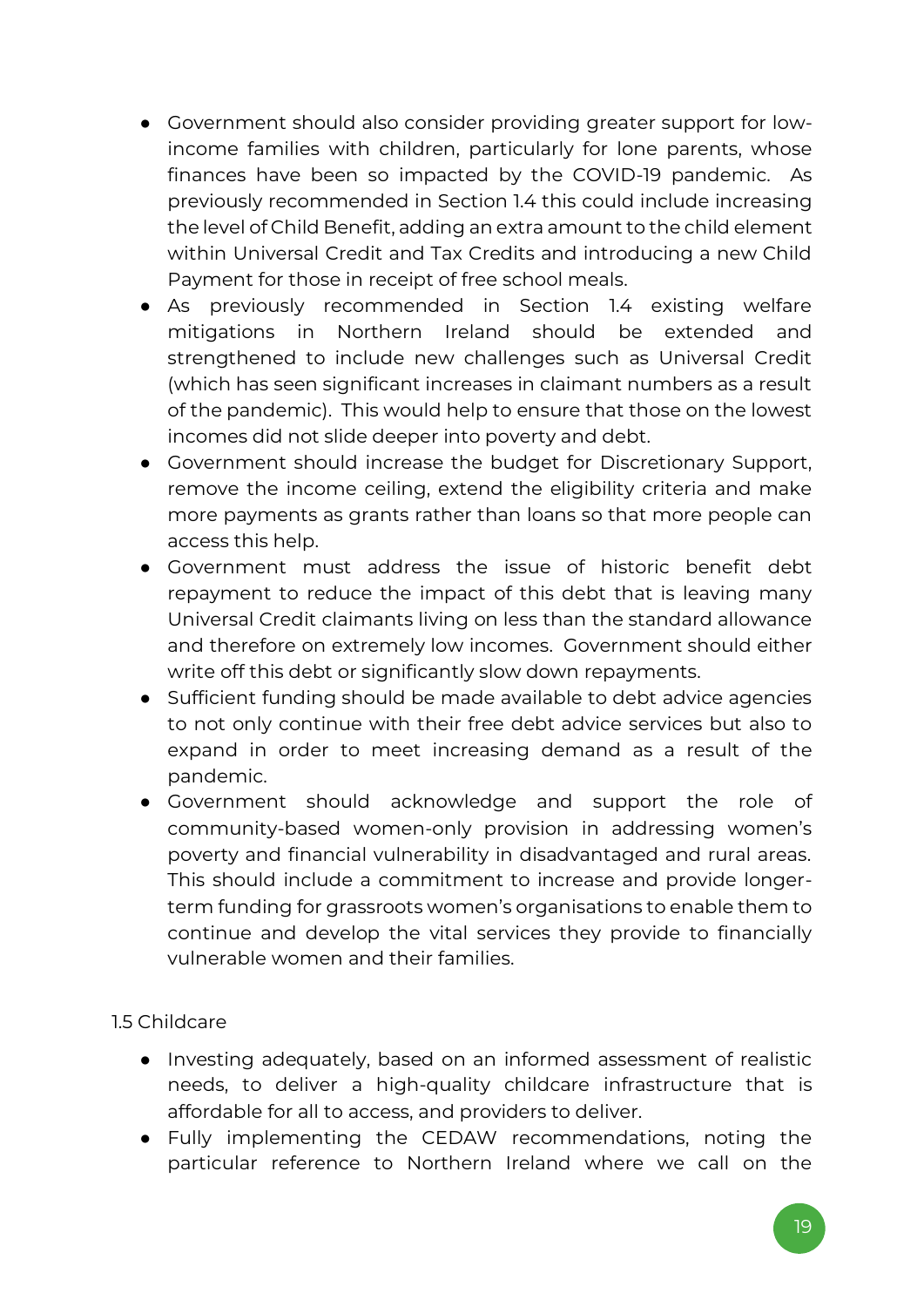- Government should also consider providing greater support for lowincome families with children, particularly for lone parents, whose finances have been so impacted by the COVID-19 pandemic. As previously recommended in Section 1.4 this could include increasing the level of Child Benefit, adding an extra amount to the child element within Universal Credit and Tax Credits and introducing a new Child Payment for those in receipt of free school meals.
- As previously recommended in Section 1.4 existing welfare mitigations in Northern Ireland should be extended and strengthened to include new challenges such as Universal Credit (which has seen significant increases in claimant numbers as a result of the pandemic). This would help to ensure that those on the lowest incomes did not slide deeper into poverty and debt.
- Government should increase the budget for Discretionary Support, remove the income ceiling, extend the eligibility criteria and make more payments as grants rather than loans so that more people can access this help.
- Government must address the issue of historic benefit debt repayment to reduce the impact of this debt that is leaving many Universal Credit claimants living on less than the standard allowance and therefore on extremely low incomes. Government should either write off this debt or significantly slow down repayments.
- Sufficient funding should be made available to debt advice agencies to not only continue with their free debt advice services but also to expand in order to meet increasing demand as a result of the pandemic.
- Government should acknowledge and support the role of community-based women-only provision in addressing women's poverty and financial vulnerability in disadvantaged and rural areas. This should include a commitment to increase and provide longerterm funding for grassroots women's organisations to enable them to continue and develop the vital services they provide to financially vulnerable women and their families.

1.5 Childcare

- Investing adequately, based on an informed assessment of realistic needs, to deliver a high-quality childcare infrastructure that is affordable for all to access, and providers to deliver.
- Fully implementing the CEDAW recommendations, noting the particular reference to Northern Ireland where we call on the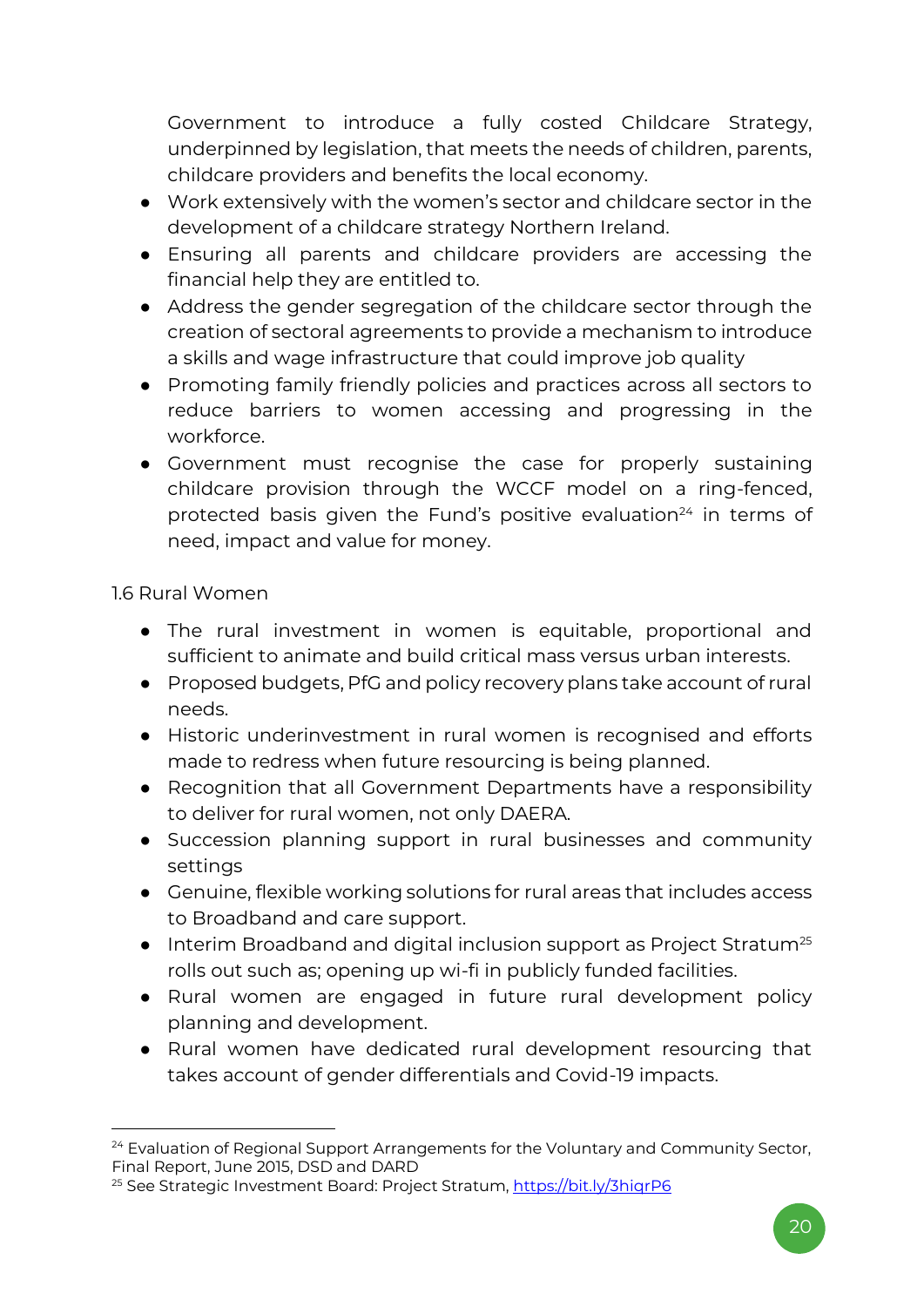Government to introduce a fully costed Childcare Strategy, underpinned by legislation, that meets the needs of children, parents, childcare providers and benefits the local economy.

- Work extensively with the women's sector and childcare sector in the development of a childcare strategy Northern Ireland.
- Ensuring all parents and childcare providers are accessing the financial help they are entitled to.
- Address the gender segregation of the childcare sector through the creation of sectoral agreements to provide a mechanism to introduce a skills and wage infrastructure that could improve job quality
- Promoting family friendly policies and practices across all sectors to reduce barriers to women accessing and progressing in the workforce.
- Government must recognise the case for properly sustaining childcare provision through the WCCF model on a ring-fenced, protected basis given the Fund's positive evaluation<sup>24</sup> in terms of need, impact and value for money.

1.6 Rural Women

- The rural investment in women is equitable, proportional and sufficient to animate and build critical mass versus urban interests.
- Proposed budgets, PfG and policy recovery plans take account of rural needs.
- Historic underinvestment in rural women is recognised and efforts made to redress when future resourcing is being planned.
- Recognition that all Government Departments have a responsibility to deliver for rural women, not only DAERA.
- Succession planning support in rural businesses and community settings
- Genuine, flexible working solutions for rural areas that includes access to Broadband and care support.
- Interim Broadband and digital inclusion support as Project Stratum<sup>25</sup> rolls out such as; opening up wi-fi in publicly funded facilities.
- Rural women are engaged in future rural development policy planning and development.
- Rural women have dedicated rural development resourcing that takes account of gender differentials and Covid-19 impacts.

<sup>&</sup>lt;sup>24</sup> Evaluation of Regional Support Arrangements for the Voluntary and Community Sector, Final Report, June 2015, DSD and DARD

<sup>&</sup>lt;sup>25</sup> See Strategic Investment Board: Project Stratum, https://bit.ly/3higrP6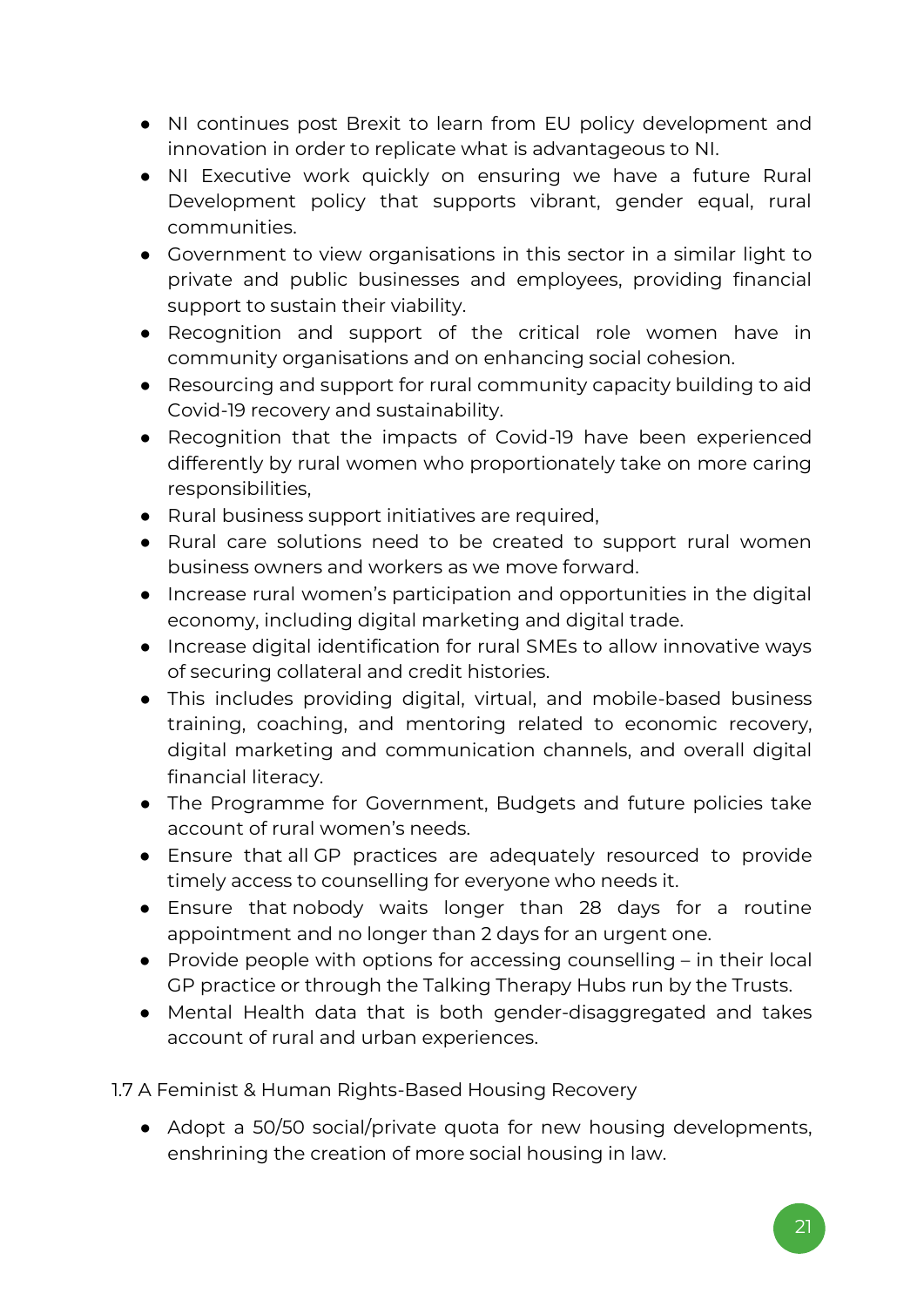- NI continues post Brexit to learn from EU policy development and innovation in order to replicate what is advantageous to NI.
- NI Executive work quickly on ensuring we have a future Rural Development policy that supports vibrant, gender equal, rural communities.
- Government to view organisations in this sector in a similar light to private and public businesses and employees, providing financial support to sustain their viability.
- Recognition and support of the critical role women have in community organisations and on enhancing social cohesion.
- Resourcing and support for rural community capacity building to aid Covid-19 recovery and sustainability.
- Recognition that the impacts of Covid-19 have been experienced differently by rural women who proportionately take on more caring responsibilities,
- Rural business support initiatives are required,
- Rural care solutions need to be created to support rural women business owners and workers as we move forward.
- Increase rural women's participation and opportunities in the digital economy, including digital marketing and digital trade.
- Increase digital identification for rural SMEs to allow innovative ways of securing collateral and credit histories.
- This includes providing digital, virtual, and mobile-based business training, coaching, and mentoring related to economic recovery, digital marketing and communication channels, and overall digital financial literacy.
- The Programme for Government, Budgets and future policies take account of rural women's needs.
- Ensure that all GP practices are adequately resourced to provide timely access to counselling for everyone who needs it.
- Ensure that nobody waits longer than 28 days for a routine appointment and no longer than 2 days for an urgent one.
- Provide people with options for accessing counselling in their local GP practice or through the Talking Therapy Hubs run by the Trusts.
- Mental Health data that is both gender-disaggregated and takes account of rural and urban experiences.
- 1.7 A Feminist & Human Rights-Based Housing Recovery
	- Adopt a 50/50 social/private quota for new housing developments, enshrining the creation of more social housing in law.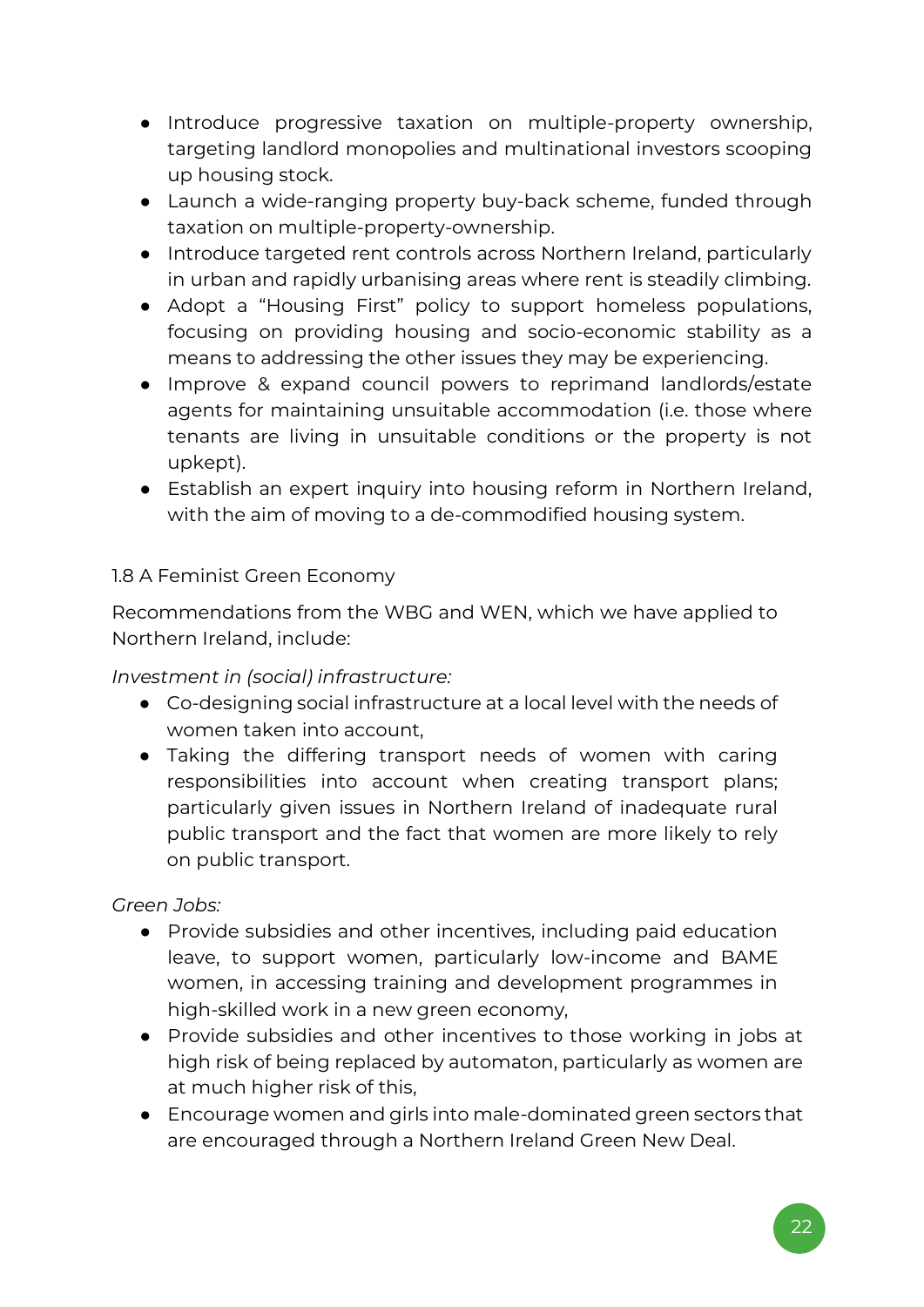- Introduce progressive taxation on multiple-property ownership, targeting landlord monopolies and multinational investors scooping up housing stock.
- Launch a wide-ranging property buy-back scheme, funded through taxation on multiple-property-ownership.
- Introduce targeted rent controls across Northern Ireland, particularly in urban and rapidly urbanising areas where rent is steadily climbing.
- Adopt a "Housing First" policy to support homeless populations, focusing on providing housing and socio-economic stability as a means to addressing the other issues they may be experiencing.
- Improve & expand council powers to reprimand landlords/estate agents for maintaining unsuitable accommodation (i.e. those where tenants are living in unsuitable conditions or the property is not upkept).
- Establish an expert inquiry into housing reform in Northern Ireland, with the aim of moving to a de-commodified housing system.

#### 1.8 A Feminist Green Economy

Recommendations from the WBG and WEN, which we have applied to Northern Ireland, include:

*Investment in (social) infrastructure:*

- Co-designing social infrastructure at a local level with the needs of women taken into account,
- Taking the differing transport needs of women with caring responsibilities into account when creating transport plans; particularly given issues in Northern Ireland of inadequate rural public transport and the fact that women are more likely to rely on public transport.

#### *Green Jobs:*

- Provide subsidies and other incentives, including paid education leave, to support women, particularly low-income and BAME women, in accessing training and development programmes in high-skilled work in a new green economy,
- Provide subsidies and other incentives to those working in jobs at high risk of being replaced by automaton, particularly as women are at much higher risk of this,
- Encourage women and girls into male-dominated green sectors that are encouraged through a Northern Ireland Green New Deal.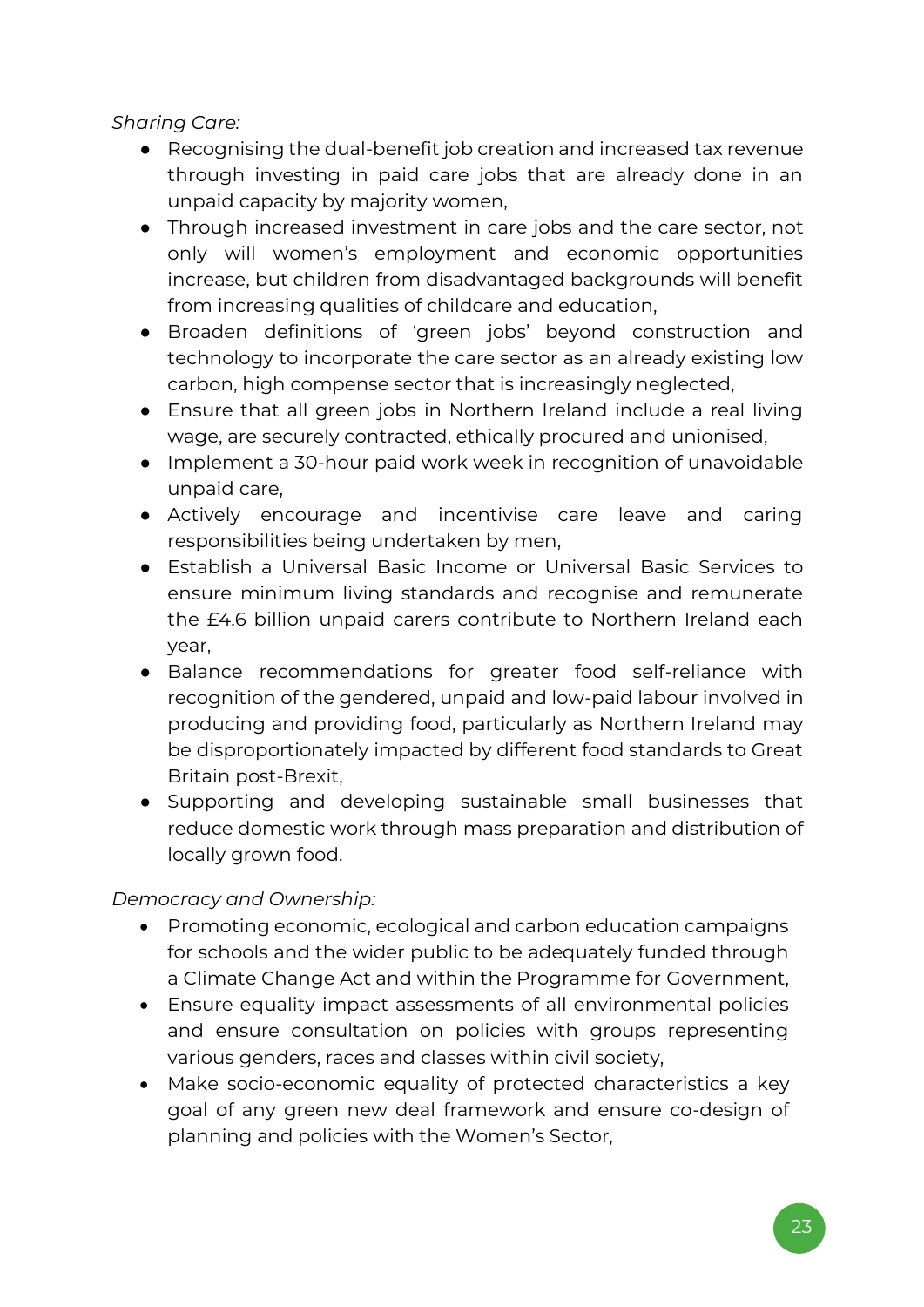*Sharing Care:* 

- Recognising the dual-benefit job creation and increased tax revenue through investing in paid care jobs that are already done in an unpaid capacity by majority women,
- Through increased investment in care jobs and the care sector, not only will women's employment and economic opportunities increase, but children from disadvantaged backgrounds will benefit from increasing qualities of childcare and education,
- Broaden definitions of 'green jobs' beyond construction and technology to incorporate the care sector as an already existing low carbon, high compense sector that is increasingly neglected,
- Ensure that all green jobs in Northern Ireland include a real living wage, are securely contracted, ethically procured and unionised,
- Implement a 30-hour paid work week in recognition of unavoidable unpaid care,
- Actively encourage and incentivise care leave and caring responsibilities being undertaken by men,
- Establish a Universal Basic Income or Universal Basic Services to ensure minimum living standards and recognise and remunerate the £4.6 billion unpaid carers contribute to Northern Ireland each year,
- Balance recommendations for greater food self-reliance with recognition of the gendered, unpaid and low-paid labour involved in producing and providing food, particularly as Northern Ireland may be disproportionately impacted by different food standards to Great Britain post-Brexit,
- Supporting and developing sustainable small businesses that reduce domestic work through mass preparation and distribution of locally grown food.

*Democracy and Ownership:*

- Promoting economic, ecological and carbon education campaigns for schools and the wider public to be adequately funded through a Climate Change Act and within the Programme for Government,
- Ensure equality impact assessments of all environmental policies and ensure consultation on policies with groups representing various genders, races and classes within civil society,
- Make socio-economic equality of protected characteristics a key goal of any green new deal framework and ensure co-design of planning and policies with the Women's Sector,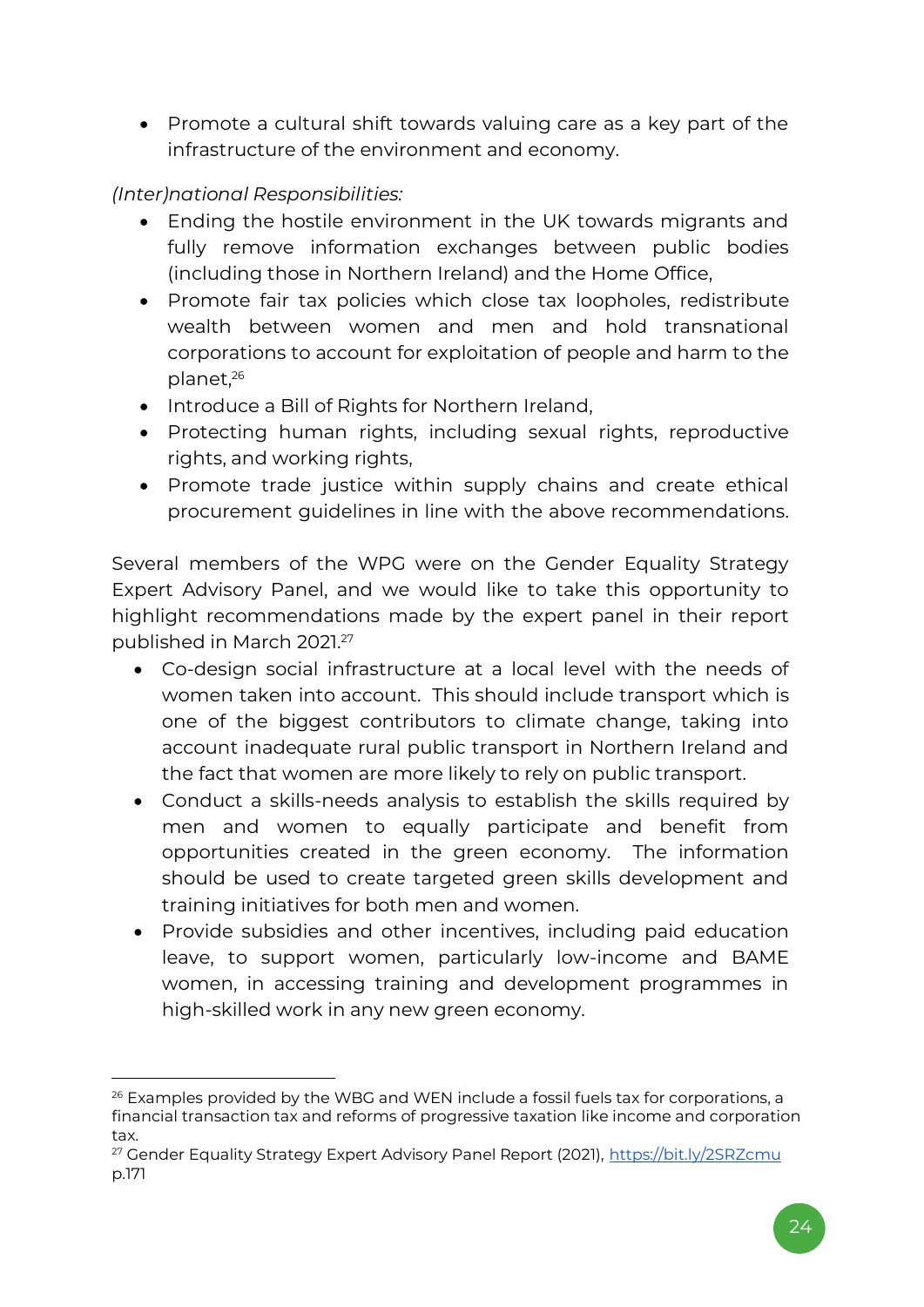• Promote a cultural shift towards valuing care as a key part of the infrastructure of the environment and economy.

*(Inter)national Responsibilities:* 

- Ending the hostile environment in the UK towards migrants and fully remove information exchanges between public bodies (including those in Northern Ireland) and the Home Office,
- Promote fair tax policies which close tax loopholes, redistribute wealth between women and men and hold transnational corporations to account for exploitation of people and harm to the planet,<sup>26</sup>
- Introduce a Bill of Rights for Northern Ireland,
- Protecting human rights, including sexual rights, reproductive rights, and working rights,
- Promote trade justice within supply chains and create ethical procurement guidelines in line with the above recommendations.

Several members of the WPG were on the Gender Equality Strategy Expert Advisory Panel, and we would like to take this opportunity to highlight recommendations made by the expert panel in their report published in March 2021. 27

- Co-design social infrastructure at a local level with the needs of women taken into account. This should include transport which is one of the biggest contributors to climate change, taking into account inadequate rural public transport in Northern Ireland and the fact that women are more likely to rely on public transport.
- Conduct a skills-needs analysis to establish the skills required by men and women to equally participate and benefit from opportunities created in the green economy. The information should be used to create targeted green skills development and training initiatives for both men and women.
- Provide subsidies and other incentives, including paid education leave, to support women, particularly low-income and BAME women, in accessing training and development programmes in high-skilled work in any new green economy.

<sup>&</sup>lt;sup>26</sup> Examples provided by the WBG and WEN include a fossil fuels tax for corporations, a financial transaction tax and reforms of progressive taxation like income and corporation tax.

<sup>&</sup>lt;sup>27</sup> Gender Equality Strategy Expert Advisory Panel Report (2021),<https://bit.ly/2SRZcmu> p.171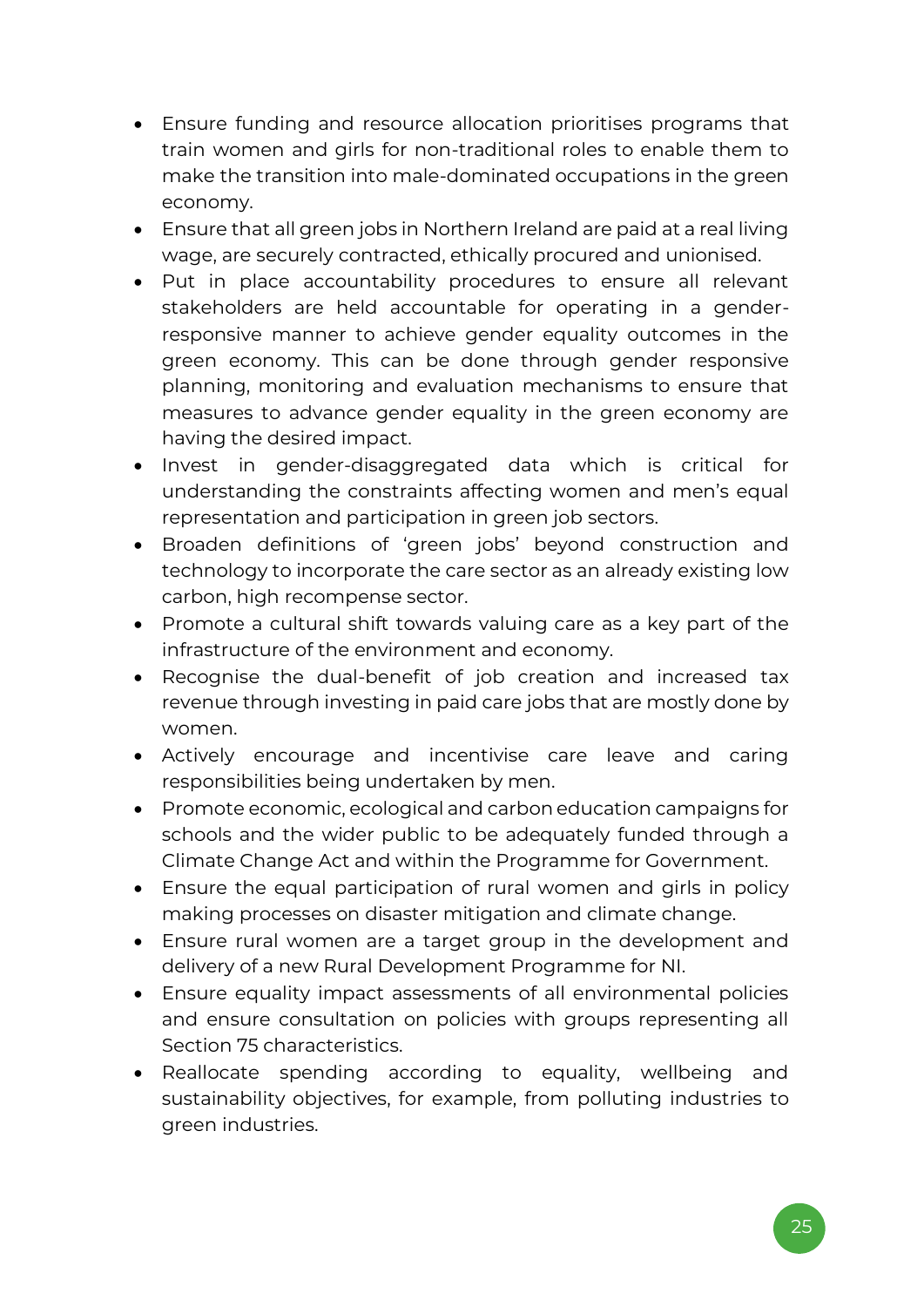- Ensure funding and resource allocation prioritises programs that train women and girls for non-traditional roles to enable them to make the transition into male-dominated occupations in the green economy.
- Ensure that all green jobs in Northern Ireland are paid at a real living wage, are securely contracted, ethically procured and unionised.
- Put in place accountability procedures to ensure all relevant stakeholders are held accountable for operating in a genderresponsive manner to achieve gender equality outcomes in the green economy. This can be done through gender responsive planning, monitoring and evaluation mechanisms to ensure that measures to advance gender equality in the green economy are having the desired impact.
- Invest in gender-disaggregated data which is critical for understanding the constraints affecting women and men's equal representation and participation in green job sectors.
- Broaden definitions of 'green jobs' beyond construction and technology to incorporate the care sector as an already existing low carbon, high recompense sector.
- Promote a cultural shift towards valuing care as a key part of the infrastructure of the environment and economy.
- Recognise the dual-benefit of job creation and increased tax revenue through investing in paid care jobs that are mostly done by women.
- Actively encourage and incentivise care leave and caring responsibilities being undertaken by men.
- Promote economic, ecological and carbon education campaigns for schools and the wider public to be adequately funded through a Climate Change Act and within the Programme for Government.
- Ensure the equal participation of rural women and girls in policy making processes on disaster mitigation and climate change.
- Ensure rural women are a target group in the development and delivery of a new Rural Development Programme for NI.
- Ensure equality impact assessments of all environmental policies and ensure consultation on policies with groups representing all Section 75 characteristics.
- Reallocate spending according to equality, wellbeing and sustainability objectives, for example, from polluting industries to green industries.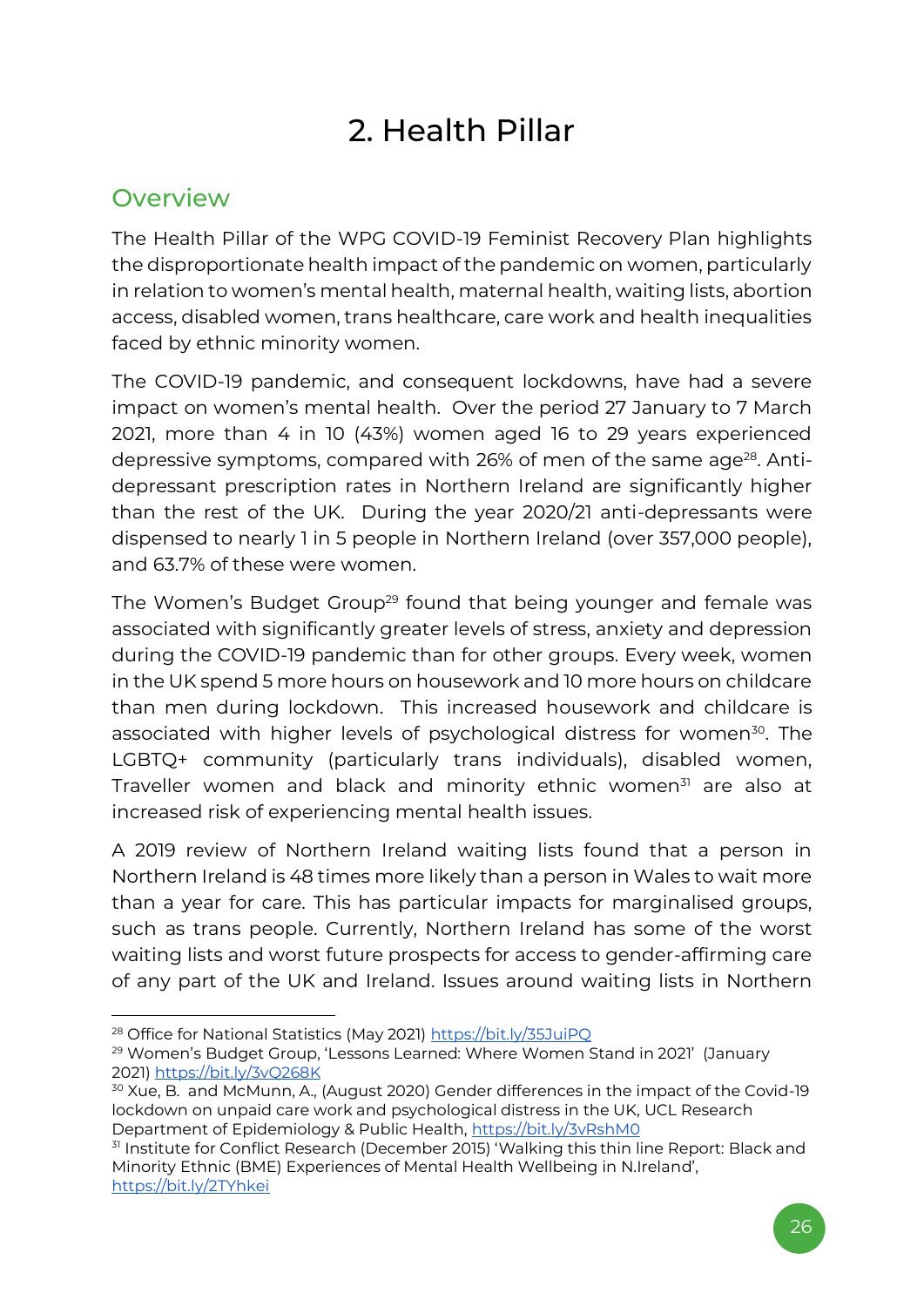# 2. Health Pillar

### <span id="page-25-1"></span><span id="page-25-0"></span>**Overview**

The Health Pillar of the WPG COVID-19 Feminist Recovery Plan highlights the disproportionate health impact of the pandemic on women, particularly in relation to women's mental health, maternal health, waiting lists, abortion access, disabled women, trans healthcare, care work and health inequalities faced by ethnic minority women.

The COVID-19 pandemic, and consequent lockdowns, have had a severe impact on women's mental health. Over the period 27 January to 7 March 2021, more than 4 in 10 (43%) women aged 16 to 29 years experienced depressive symptoms, compared with 26% of men of the same age<sup>28</sup>. Antidepressant prescription rates in Northern Ireland are significantly higher than the rest of the UK. During the year 2020/21 anti-depressants were dispensed to nearly 1 in 5 people in Northern Ireland (over 357,000 people), and 63.7% of these were women.

The Women's Budget Group<sup>29</sup> found that being younger and female was associated with significantly greater levels of stress, anxiety and depression during the COVID-19 pandemic than for other groups. Every week, women in the UK spend 5 more hours on housework and 10 more hours on childcare than men during lockdown. This increased housework and childcare is associated with higher levels of psychological distress for women<sup>30</sup>. The LGBTQ+ community (particularly trans individuals), disabled women, Traveller women and black and minority ethnic women $31$  are also at increased risk of experiencing mental health issues.

A 2019 review of Northern Ireland waiting lists found that a person in Northern Ireland is 48 times more likely than a person in Wales to wait more than a year for care. This has particular impacts for marginalised groups, such as trans people. Currently, Northern Ireland has some of the worst waiting lists and worst future prospects for access to gender-affirming care of any part of the UK and Ireland. Issues around waiting lists in Northern

<sup>&</sup>lt;sup>28</sup> Office for National Statistics (May 2021)<https://bit.ly/35JuiPQ>

<sup>&</sup>lt;sup>29</sup> Women's Budget Group, 'Lessons Learned: Where Women Stand in 2021' (January 2021[\) https://bit.ly/3vQ268K](https://bit.ly/3vQ268K)

<sup>30</sup> Xue, B. and McMunn, A., (August 2020[\) Gender differences in the impact of the Covid-19](https://osf.io/preprints/socarxiv/wzu4t/)  [lockdown on unpaid care work and psychological distress in the UK,](https://osf.io/preprints/socarxiv/wzu4t/) UCL Research Department of Epidemiology & Public Health,<https://bit.ly/3vRshM0>

<sup>&</sup>lt;sup>31</sup> Institute for Conflict Research (December 2015) 'Walking this thin line Report: Black and [Minority Ethnic \(BME\) Experiences of Mental Health Wellbeing in N.Irelan](http://conflictresearch.org.uk/wp-content/uploads/Waking-this-thin-line-Black-and-Minoirty-Ethnic-BME-Experiences-of-Mental-Health-Wellbeing-in-N.Ireland.pdf)d', <https://bit.ly/2TYhkei>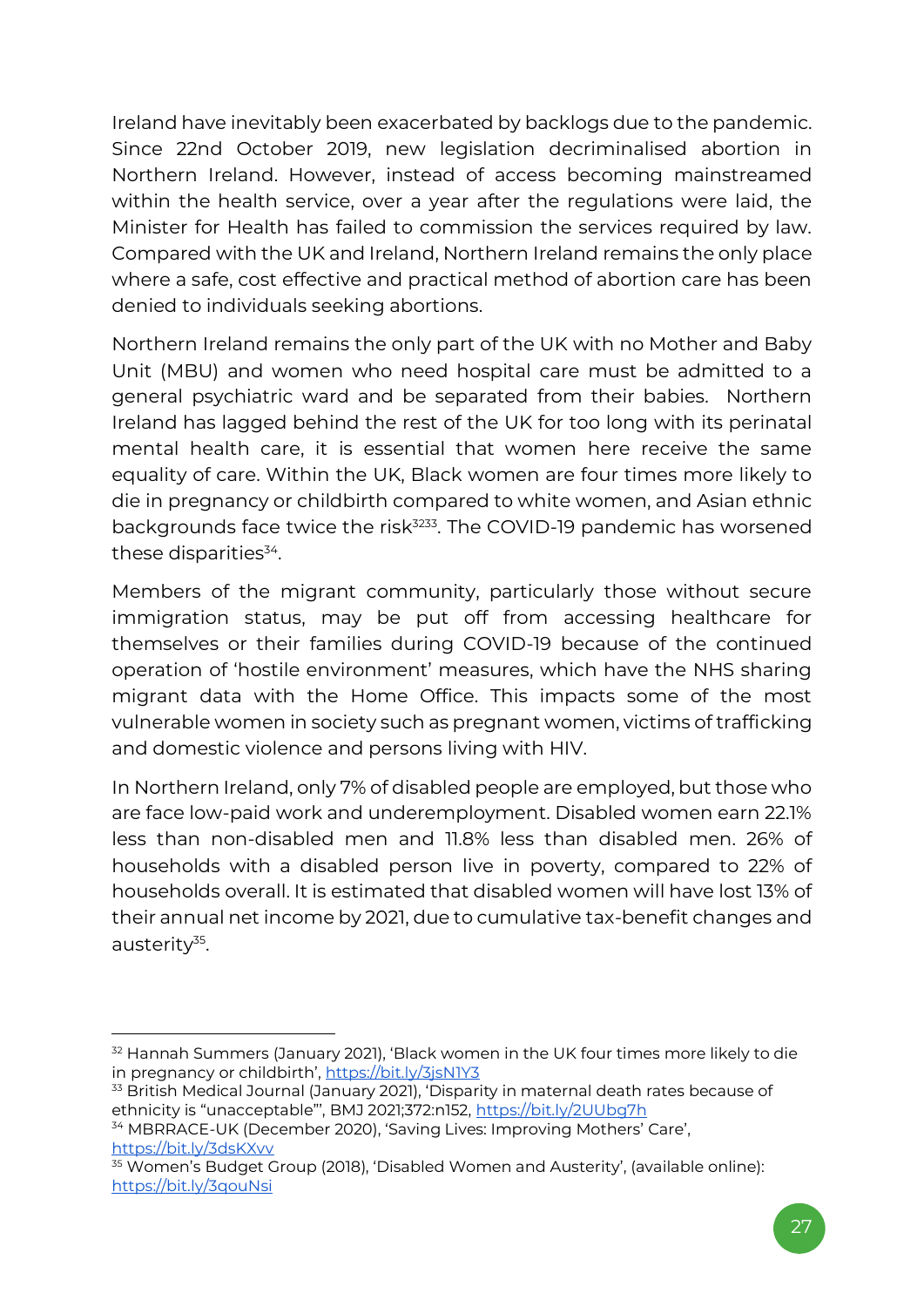Ireland have inevitably been exacerbated by backlogs due to the pandemic. Since 22nd October 2019, new legislation decriminalised abortion in Northern Ireland. However, instead of access becoming mainstreamed within the health service, over a year after the regulations were laid, the Minister for Health has failed to commission the services required by law. Compared with the UK and Ireland, Northern Ireland remains the only place where a safe, cost effective and practical method of abortion care has been denied to individuals seeking abortions.

Northern Ireland remains the only part of the UK with no Mother and Baby Unit (MBU) and women who need hospital care must be admitted to a general psychiatric ward and be separated from their babies. Northern Ireland has lagged behind the rest of the UK for too long with its perinatal mental health care, it is essential that women here receive the same equality of care. Within the UK, Black women are four times more likely to die in pregnancy or childbirth compared to white women, and Asian ethnic backgrounds face twice the risk<sup>3233</sup>. The COVID-19 pandemic has worsened these disparities $^{34}$ .

Members of the migrant community, particularly those without secure immigration status, may be put off from accessing healthcare for themselves or their families during COVID-19 because of the continued operation of 'hostile environment' measures, which have the NHS sharing migrant data with the Home Office. This impacts some of the most vulnerable women in society such as pregnant women, victims of trafficking and domestic violence and persons living with HIV.

In Northern Ireland, only 7% of disabled people are employed, but those who are face low-paid work and underemployment. Disabled women earn 22.1% less than non-disabled men and 11.8% less than disabled men. 26% of households with a disabled person live in poverty, compared to 22% of households overall. It is estimated that disabled women will have lost 13% of their annual net income by 2021, due to cumulative tax-benefit changes and austerity<sup>35</sup>.

<sup>&</sup>lt;sup>32</sup> Hannah Summers (January 2021), 'Black women in the UK four times more likely to die in pregnancy or childbirth', <https://bit.ly/3jsN1Y3>

<sup>&</sup>lt;sup>33</sup> British Medical Journal (January 2021), 'Disparity in maternal death rates because of ethnicity is "unacceptable"', BMJ 2021;372:n152, <https://bit.ly/2UUbg7h>

<sup>34</sup> MBRRACE-UK (December 2020), 'Saving Lives: Improving Mothers' Care', <https://bit.ly/3dsKXvv>

<sup>35</sup> Women's Budget Group (2018), 'Disabled Women and Austerity', (available online): <https://bit.ly/3qouNsi>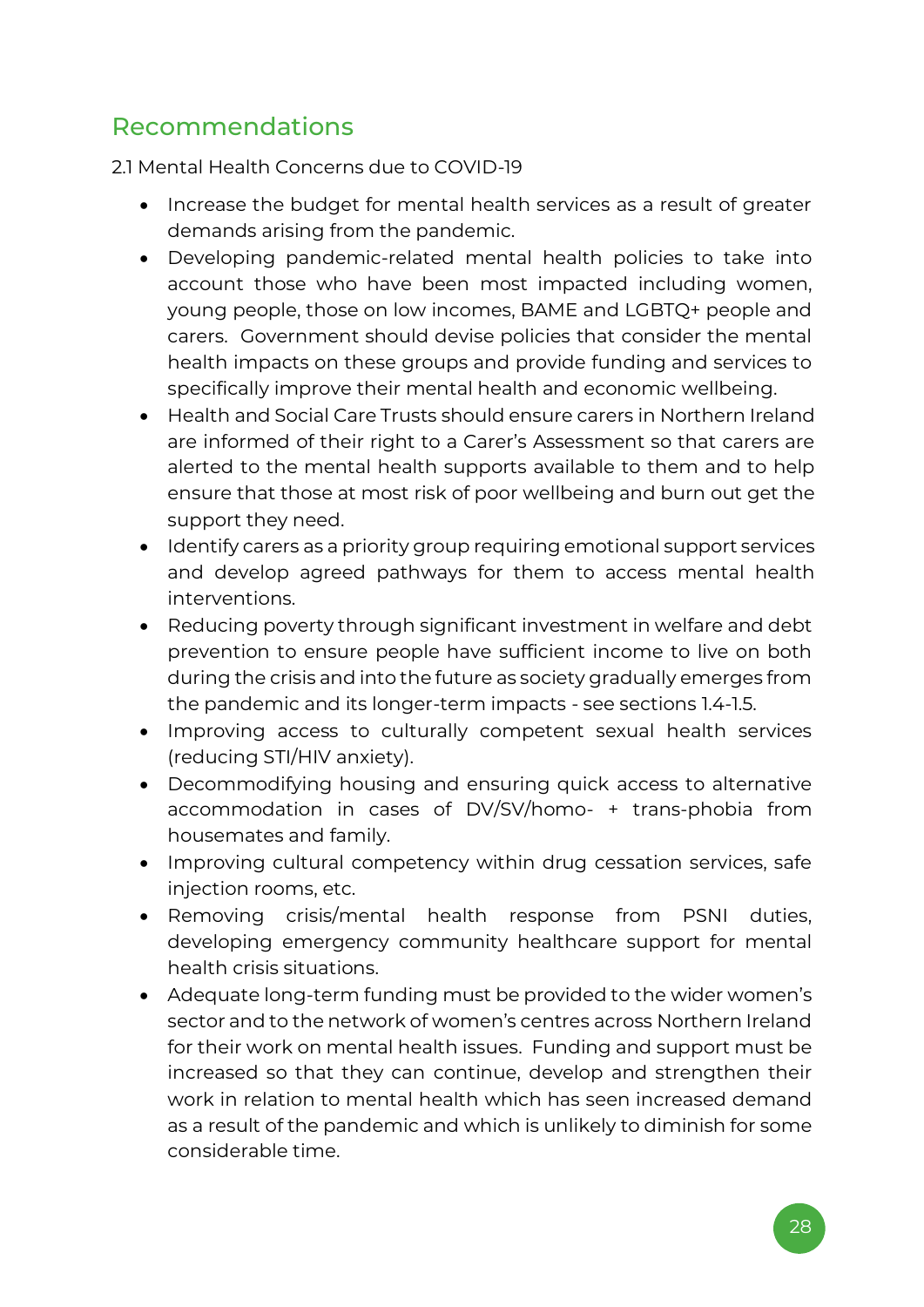### <span id="page-27-0"></span>Recommendations

2.1 Mental Health Concerns due to COVID-19

- Increase the budget for mental health services as a result of greater demands arising from the pandemic.
- Developing pandemic-related mental health policies to take into account those who have been most impacted including women, young people, those on low incomes, BAME and LGBTQ+ people and carers. Government should devise policies that consider the mental health impacts on these groups and provide funding and services to specifically improve their mental health and economic wellbeing.
- Health and Social Care Trusts should ensure carers in Northern Ireland are informed of their right to a Carer's Assessment so that carers are alerted to the mental health supports available to them and to help ensure that those at most risk of poor wellbeing and burn out get the support they need.
- Identify carers as a priority group requiring emotional support services and develop agreed pathways for them to access mental health interventions.
- Reducing poverty through significant investment in welfare and debt prevention to ensure people have sufficient income to live on both during the crisis and into the future as society gradually emerges from the pandemic and its longer-term impacts - see sections 1.4-1.5.
- Improving access to culturally competent sexual health services (reducing STI/HIV anxiety).
- Decommodifying housing and ensuring quick access to alternative accommodation in cases of DV/SV/homo- + trans-phobia from housemates and family.
- Improving cultural competency within drug cessation services, safe injection rooms, etc.
- Removing crisis/mental health response from PSNI duties, developing emergency community healthcare support for mental health crisis situations.
- Adequate long-term funding must be provided to the wider women's sector and to the network of women's centres across Northern Ireland for their work on mental health issues. Funding and support must be increased so that they can continue, develop and strengthen their work in relation to mental health which has seen increased demand as a result of the pandemic and which is unlikely to diminish for some considerable time.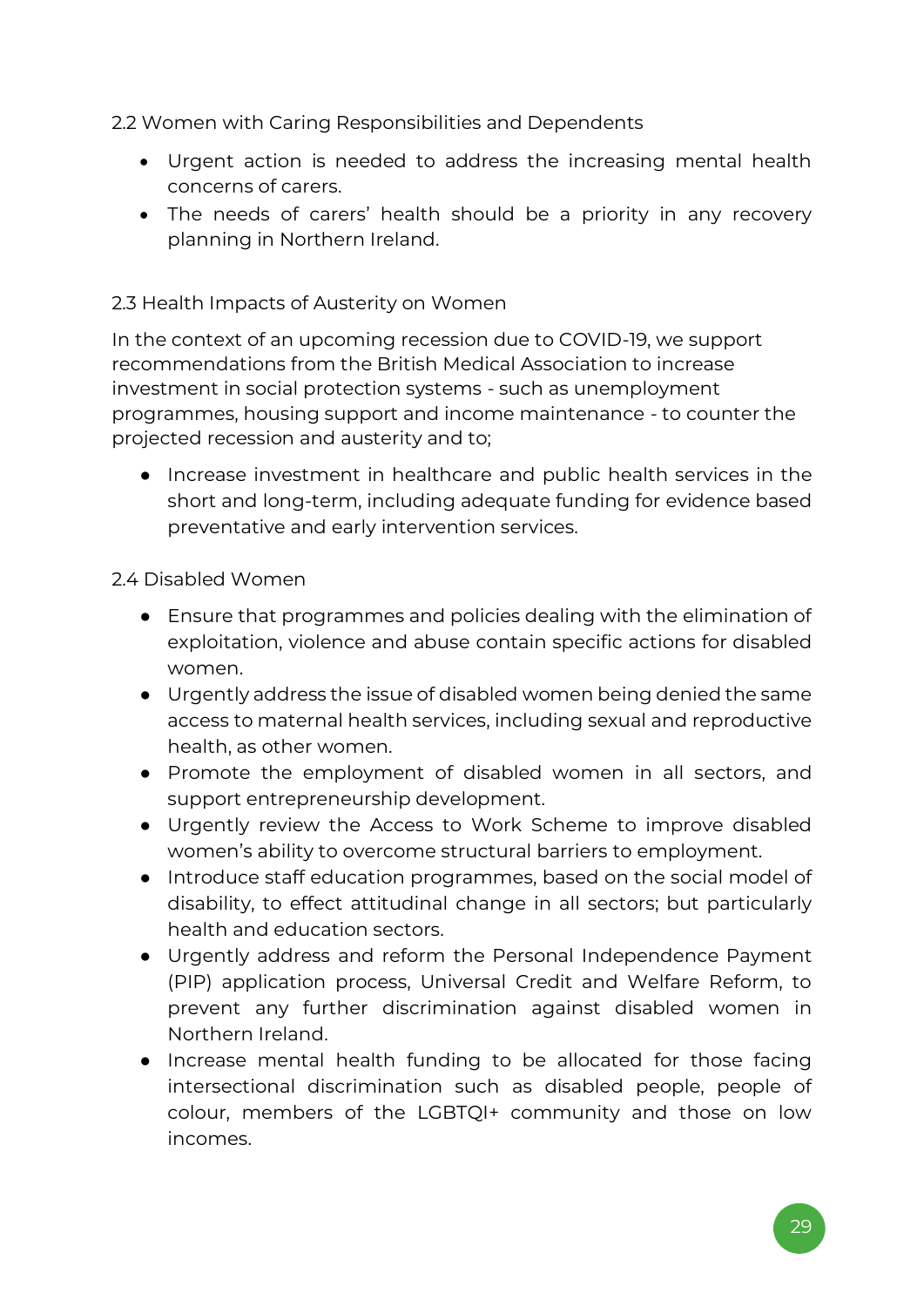2.2 Women with Caring Responsibilities and Dependents

- Urgent action is needed to address the increasing mental health concerns of carers.
- The needs of carers' health should be a priority in any recovery planning in Northern Ireland.

#### 2.3 Health Impacts of Austerity on Women

In the context of an upcoming recession due to COVID-19, we support recommendations from the British Medical Association to increase investment in social protection systems - such as unemployment programmes, housing support and income maintenance - to counter the projected recession and austerity and to;

● Increase investment in healthcare and public health services in the short and long-term, including adequate funding for evidence based preventative and early intervention services.

#### 2.4 Disabled Women

- Ensure that programmes and policies dealing with the elimination of exploitation, violence and abuse contain specific actions for disabled women.
- Urgently address the issue of disabled women being denied the same access to maternal health services, including sexual and reproductive health, as other women.
- Promote the employment of disabled women in all sectors, and support entrepreneurship development.
- Urgently review the Access to Work Scheme to improve disabled women's ability to overcome structural barriers to employment.
- Introduce staff education programmes, based on the social model of disability, to effect attitudinal change in all sectors; but particularly health and education sectors.
- Urgently address and reform the Personal Independence Payment (PIP) application process, Universal Credit and Welfare Reform, to prevent any further discrimination against disabled women in Northern Ireland.
- Increase mental health funding to be allocated for those facing intersectional discrimination such as disabled people, people of colour, members of the LGBTQI+ community and those on low incomes.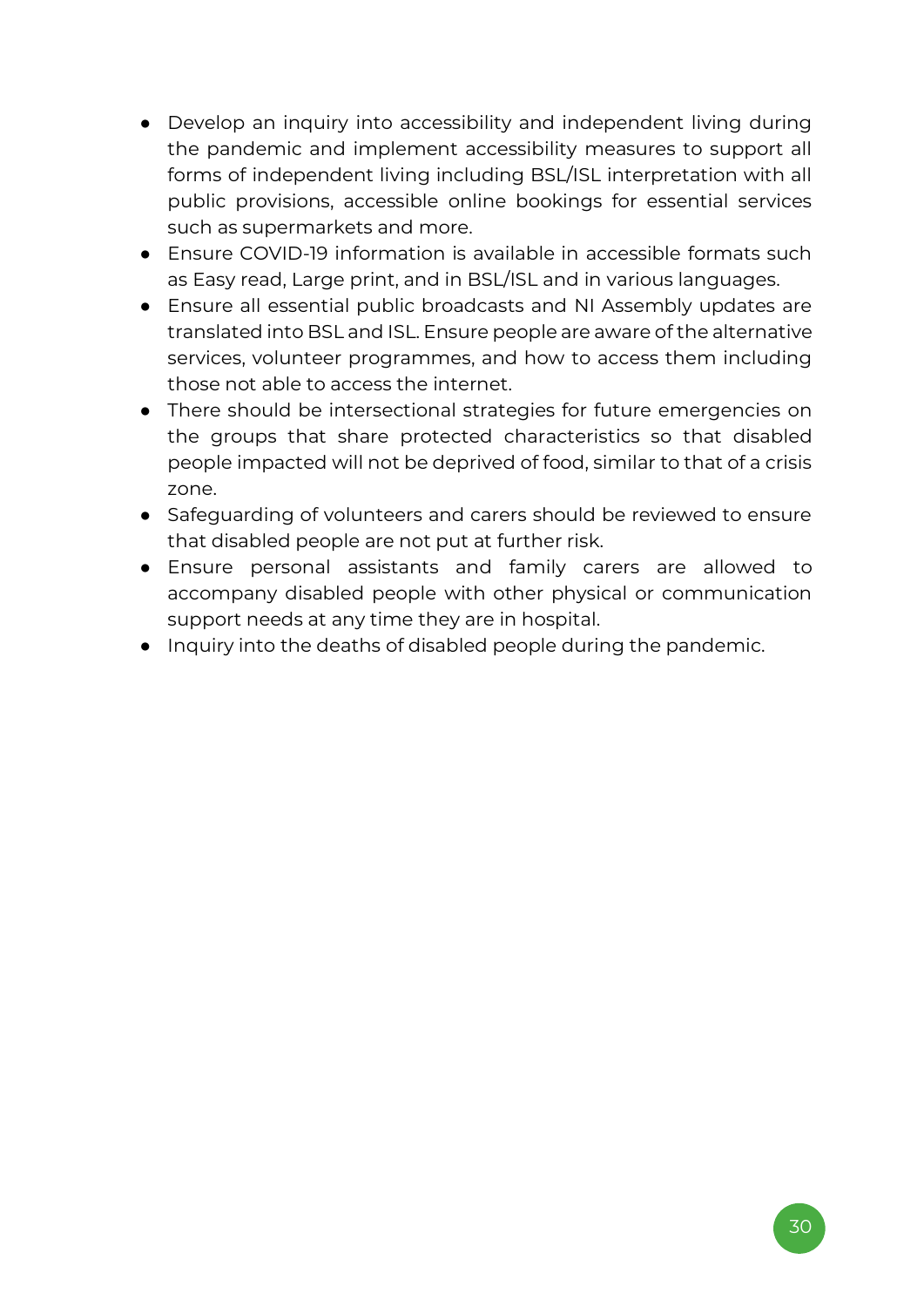- Develop an inquiry into accessibility and independent living during the pandemic and implement accessibility measures to support all forms of independent living including BSL/ISL interpretation with all public provisions, accessible online bookings for essential services such as supermarkets and more.
- Fnsure COVID-19 information is available in accessible formats such as Easy read, Large print, and in BSL/ISL and in various languages.
- Ensure all essential public broadcasts and NI Assembly updates are translated into BSL and ISL. Ensure people are aware of the alternative services, volunteer programmes, and how to access them including those not able to access the internet.
- There should be intersectional strategies for future emergencies on the groups that share protected characteristics so that disabled people impacted will not be deprived of food, similar to that of a crisis zone.
- Safeguarding of volunteers and carers should be reviewed to ensure that disabled people are not put at further risk.
- Ensure personal assistants and family carers are allowed to accompany disabled people with other physical or communication support needs at any time they are in hospital.
- Inquiry into the deaths of disabled people during the pandemic.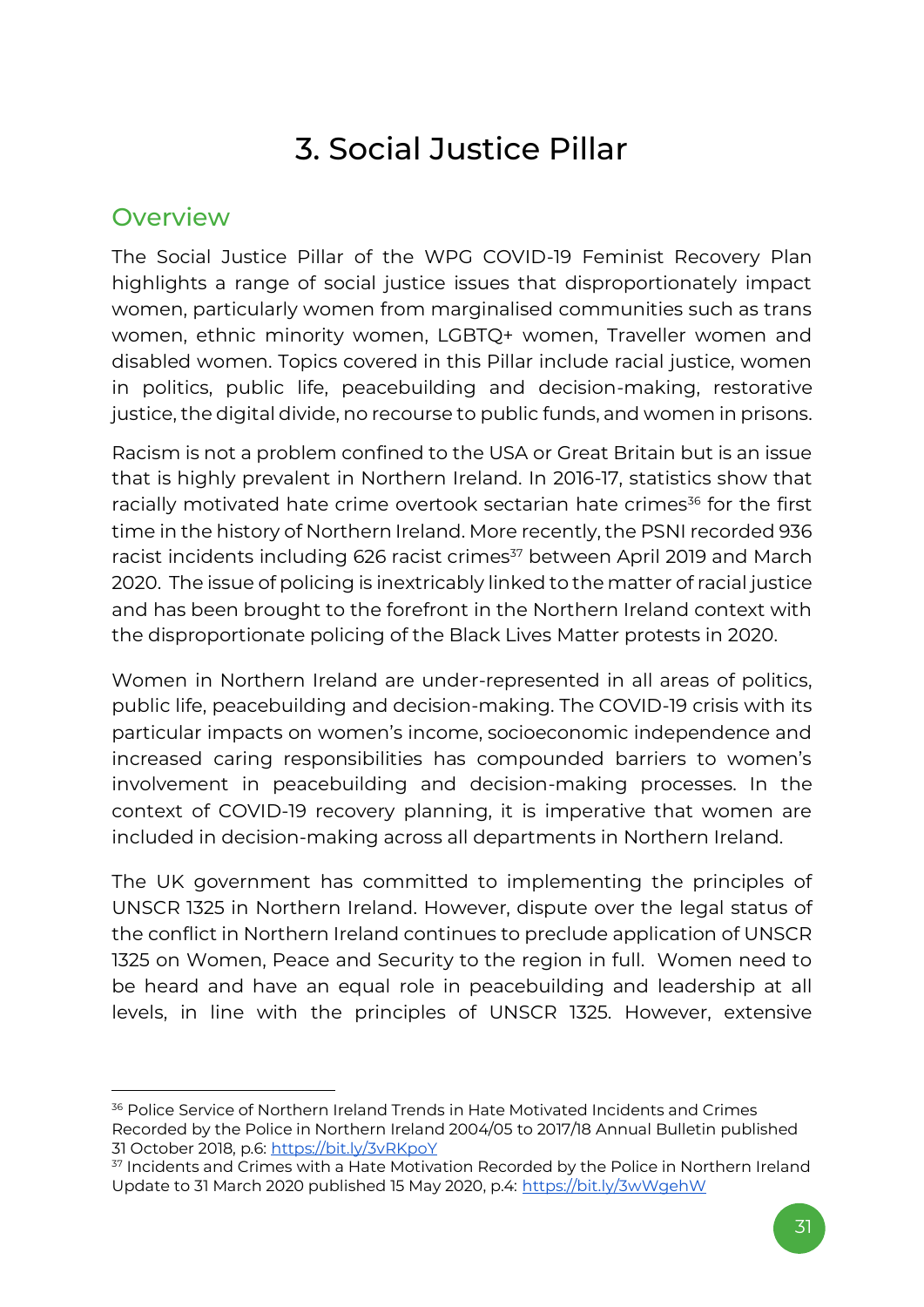## 3. Social Justice Pillar

### <span id="page-30-1"></span><span id="page-30-0"></span>**Overview**

The Social Justice Pillar of the WPG COVID-19 Feminist Recovery Plan highlights a range of social justice issues that disproportionately impact women, particularly women from marginalised communities such as trans women, ethnic minority women, LGBTQ+ women, Traveller women and disabled women. Topics covered in this Pillar include racial justice, women in politics, public life, peacebuilding and decision-making, restorative justice, the digital divide, no recourse to public funds, and women in prisons.

Racism is not a problem confined to the USA or Great Britain but is an issue that is highly prevalent in Northern Ireland. In 2016-17, statistics show that racially motivated hate crime overtook sectarian hate crimes<sup>36</sup> for the first time in the history of Northern Ireland. More recently, the PSNI recorded 936 racist incidents including 626 racist crimes<sup>37</sup> between April 2019 and March 2020. The issue of policing is inextricably linked to the matter of racial justice and has been brought to the forefront in the Northern Ireland context with the disproportionate policing of the Black Lives Matter protests in 2020.

Women in Northern Ireland are under-represented in all areas of politics, public life, peacebuilding and decision-making. The COVID-19 crisis with its particular impacts on women's income, socioeconomic independence and increased caring responsibilities has compounded barriers to women's involvement in peacebuilding and decision-making processes. In the context of COVID-19 recovery planning, it is imperative that women are included in decision-making across all departments in Northern Ireland.

The UK government has committed to implementing the principles of UNSCR 1325 in Northern Ireland. However, dispute over the legal status of the conflict in Northern Ireland continues to preclude application of UNSCR 1325 on Women, Peace and Security to the region in full. Women need to be heard and have an equal role in peacebuilding and leadership at all levels, in line with the principles of UNSCR 1325. However, extensive

<sup>&</sup>lt;sup>36</sup> Police Service of Northern Ireland Trends in Hate Motivated Incidents and Crimes Recorded by the Police in Northern Ireland 2004/05 to 2017/18 Annual Bulletin published 31 October 2018, p.6:<https://bit.ly/3vRKpoY>

<sup>&</sup>lt;sup>37</sup> Incidents and Crimes with a Hate Motivation Recorded by the Police in Northern Ireland Update to 31 March 2020 published 15 May 2020, p.4:<https://bit.ly/3wWgehW>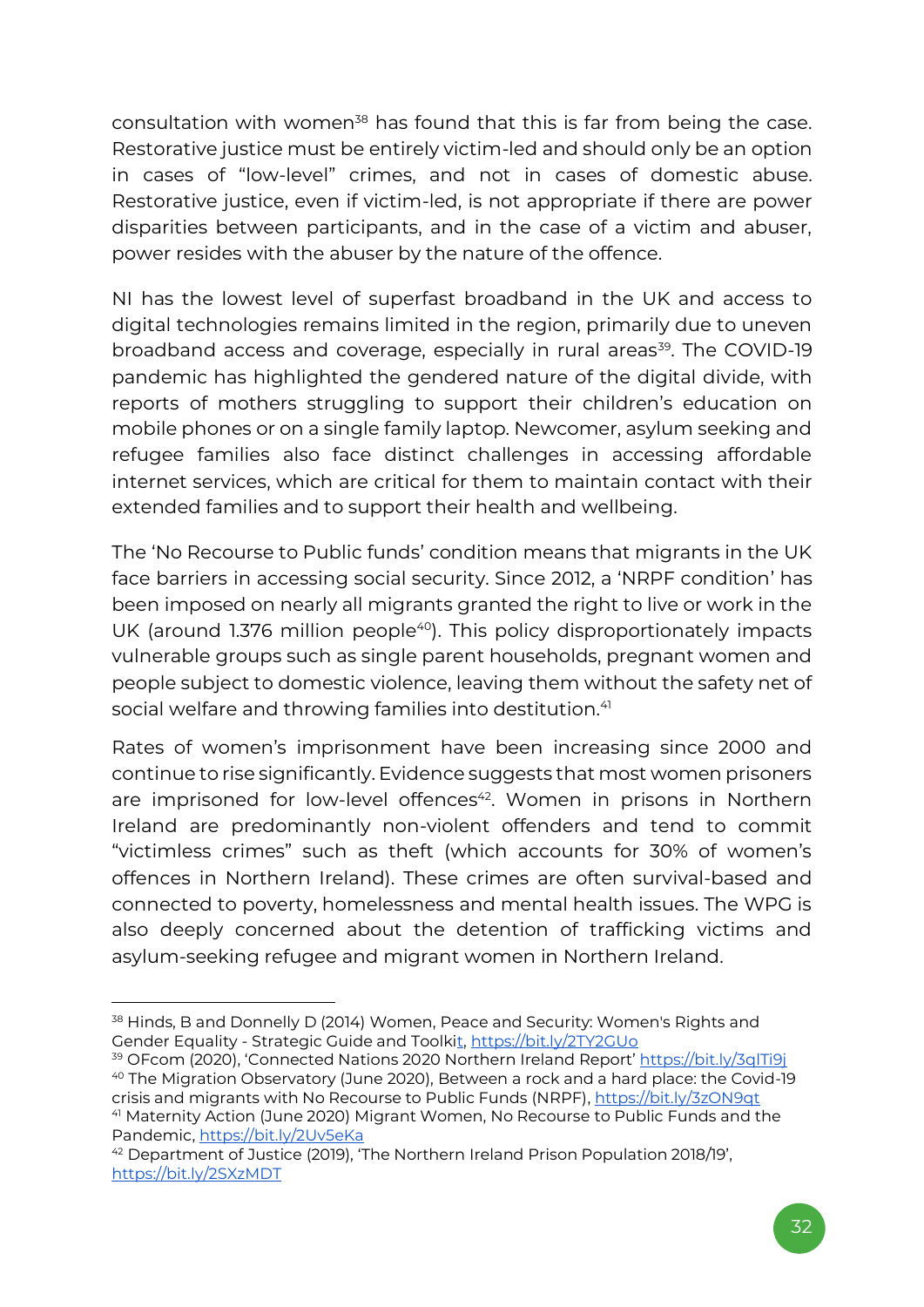consultation with women<sup>38</sup> has found that this is far from being the case. Restorative justice must be entirely victim-led and should only be an option in cases of "low-level" crimes, and not in cases of domestic abuse. Restorative justice, even if victim-led, is not appropriate if there are power disparities between participants, and in the case of a victim and abuser, power resides with the abuser by the nature of the offence.

NI has the lowest level of superfast broadband in the UK and access to digital technologies remains limited in the region, primarily due to uneven broadband access and coverage, especially in rural areas<sup>39</sup>. The COVID-19 pandemic has highlighted the gendered nature of the digital divide, with reports of mothers struggling to support their children's education on mobile phones or on a single family laptop. Newcomer, asylum seeking and refugee families also face distinct challenges in accessing affordable internet services, which are critical for them to maintain contact with their extended families and to support their health and wellbeing.

The 'No Recourse to Public funds' condition means that migrants in the UK face barriers in accessing social security. Since 2012, a 'NRPF condition' has been imposed on nearly all migrants granted the right to live or work in the UK (around 1.376 million people<sup>40</sup>). This policy disproportionately impacts vulnerable groups such as single parent households, pregnant women and people subject to domestic violence, leaving them without the safety net of social welfare and throwing families into destitution.<sup>41</sup>

Rates of women's imprisonment have been increasing since 2000 and continue to rise significantly. Evidence suggests that most women prisoners are imprisoned for low-level offences<sup>42</sup>. Women in prisons in Northern Ireland are predominantly non-violent offenders and tend to commit "victimless crimes" such as theft (which accounts for 30% of women's offences in Northern Ireland). These crimes are often survival-based and connected to poverty, homelessness and mental health issues. The WPG is also deeply concerned about the detention of trafficking victims and asylum-seeking refugee and migrant women in Northern Ireland.

<sup>38</sup> Hinds, B and Donnelly D (2014[\)](http://www.google.co.uk/url?sa=t&rct=j&q=&esrc=s&source=web&cd=1&cad=rja&uact=8&ved=0ahUKEwiNxNKj8YLbAhWlC8AKHT0CC2oQFggnMAA&url=http%3A%2F%2Freview.table59.co.uk%2Fwrda%2Fwp-content%2Fuploads%2F2017%2F05%2FToolkit_Booklet.pdf&usg=AOvVaw3LK3ABCam-zqXiyxOwr) Women, Peace and Security: Women's Rights and Gender Equality - [Strategic Guide and Toolkit,](http://www.google.co.uk/url?sa=t&rct=j&q=&esrc=s&source=web&cd=1&cad=rja&uact=8&ved=0ahUKEwiNxNKj8YLbAhWlC8AKHT0CC2oQFggnMAA&url=http%3A%2F%2Freview.table59.co.uk%2Fwrda%2Fwp-content%2Fuploads%2F2017%2F05%2FToolkit_Booklet.pdf&usg=AOvVaw3LK3ABCam-zqXiyxOwr) https://bit.ly/2TY2GUo

<sup>&</sup>lt;sup>39</sup> OFcom (2020), 'Connected Nations 2020 Northern Ireland Report' <https://bit.ly/3qlTi9j> <sup>40</sup> The Migration Observatory (June 2020), [Between a rock and a hard place: the Covid-19](https://migrationobservatory.ox.ac.uk/resources/commentaries/between-a-rock-and-a-hard-place-the-covid-19-crisis-and-migrants-with-no-recourse-to-public-funds-nrpf/)  [crisis and migrants with No Recourse to Public Funds \(NRPF\),](https://migrationobservatory.ox.ac.uk/resources/commentaries/between-a-rock-and-a-hard-place-the-covid-19-crisis-and-migrants-with-no-recourse-to-public-funds-nrpf/)<https://bit.ly/3zON9qt> <sup>41</sup> Maternity Action (June 2020) [Migrant Women, No Recourse](https://maternityaction.org.uk/2020/06/migrant-women-no-recourse-to-public-funds-and-the-pandemic/?utm_source=rss&utm_medium=rss&utm_campaign=migrant-women-no-recourse-to-public-funds-and-the-pandemic) to Public Funds and the [Pandemic,](https://maternityaction.org.uk/2020/06/migrant-women-no-recourse-to-public-funds-and-the-pandemic/?utm_source=rss&utm_medium=rss&utm_campaign=migrant-women-no-recourse-to-public-funds-and-the-pandemic)<https://bit.ly/2Uv5eKa>

<sup>42</sup> Department of Justice (2019), 'The Northern Ireland Prison Population 2018/19', <https://bit.ly/2SXzMDT>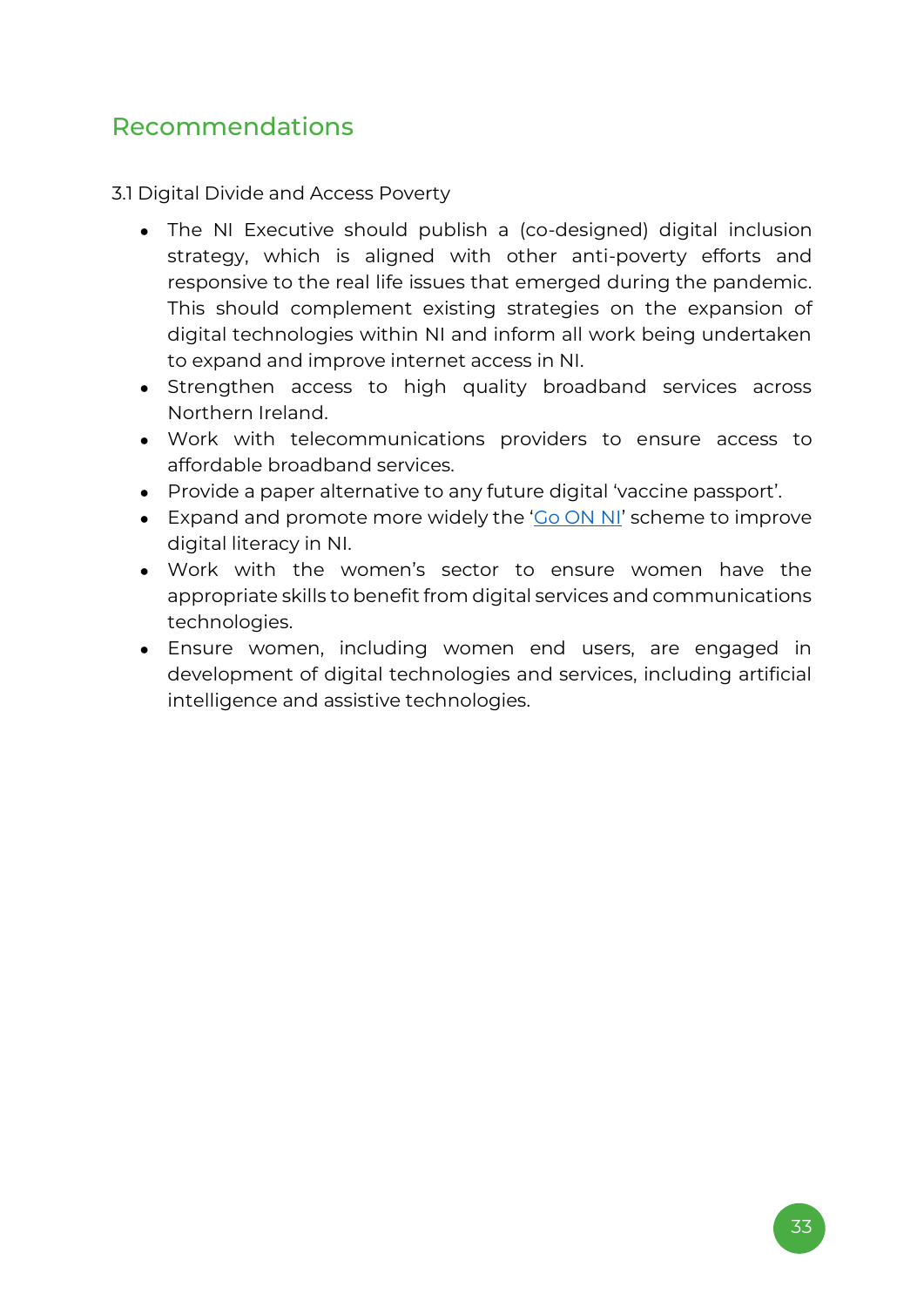### <span id="page-32-0"></span>Recommendations

3.1 Digital Divide and Access Poverty

- The NI Executive should publish a (co-designed) digital inclusion strategy, which is aligned with other anti-poverty efforts and responsive to the real life issues that emerged during the pandemic. This should complement existing strategies on the expansion of digital technologies within NI and inform all work being undertaken to expand and improve internet access in NI.
- Strengthen access to high quality broadband services across Northern Ireland.
- Work with telecommunications providers to ensure access to affordable broadband services.
- Provide a paper alternative to any future digital 'vaccine passport'.
- Expand and promote more widely the '[Go ON NI](https://www.nidirect.gov.uk/campaigns/go-on-ni)' scheme to improve digital literacy in NI.
- Work with the women's sector to ensure women have the appropriate skills to benefit from digital services and communications technologies.
- Ensure women, including women end users, are engaged in development of digital technologies and services, including artificial intelligence and assistive technologies.